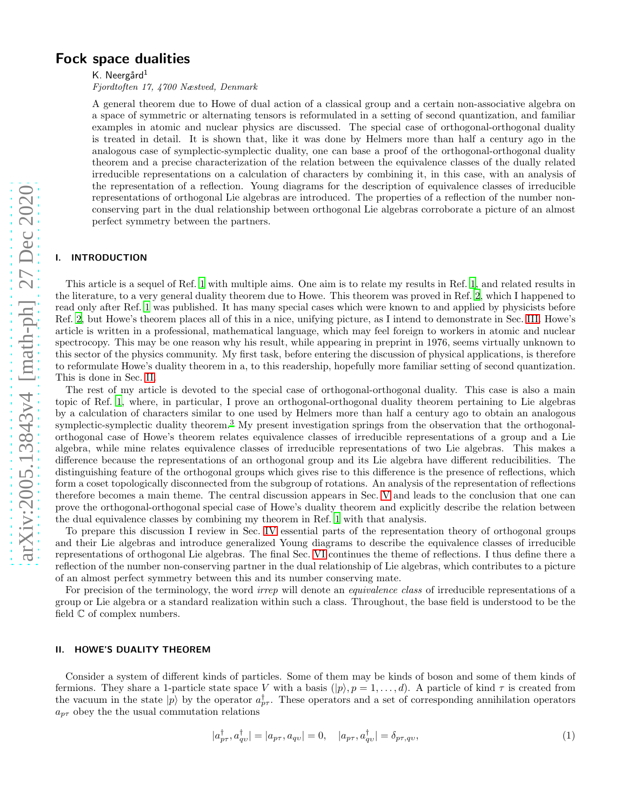# Fock space dualities

K. Neergård $<sup>1</sup>$ </sup>

Fjordtoften 17, 4700 Næstved, Denmark

A general theorem due to Howe of dual action of a classical group and a certain non-associative algebra on a space of symmetric or alternating tensors is reformulated in a setting of second quantization, and familiar examples in atomic and nuclear physics are discussed. The special case of orthogonal-orthogonal duality is treated in detail. It is shown that, like it was done by Helmers more than half a century ago in the analogous case of symplectic-symplectic duality, one can base a proof of the orthogonal-orthogonal duality theorem and a precise characterization of the relation between the equivalence classes of the dually related irreducible representations on a calculation of characters by combining it, in this case, with an analysis of the representation of a reflection. Young diagrams for the description of equivalence classes of irreducible representations of orthogonal Lie algebras are introduced. The properties of a reflection of the number nonconserving part in the dual relationship between orthogonal Lie algebras corroborate a picture of an almost perfect symmetry between the partners.

# I. INTRODUCTION

This article is a sequel of Ref. [1](#page-13-0) with multiple aims. One aim is to relate my results in Ref. [1,](#page-13-0) and related results in the literature, to a very general duality theorem due to Howe. This theorem was proved in Ref. [2](#page-13-1), which I happened to read only after Ref. [1](#page-13-0) was published. It has many special cases which were known to and applied by physicists before Ref. [2,](#page-13-1) but Howe's theorem places all of this in a nice, unifying picture, as I intend to demonstrate in Sec. [III.](#page-2-0) Howe's article is written in a professional, mathematical language, which may feel foreign to workers in atomic and nuclear spectrocopy. This may be one reason why his result, while appearing in preprint in 1976, seems virtually unknown to this sector of the physics community. My first task, before entering the discussion of physical applications, is therefore to reformulate Howe's duality theorem in a, to this readership, hopefully more familiar setting of second quantization. This is done in Sec. [II.](#page-0-0)

The rest of my article is devoted to the special case of orthogonal-orthogonal duality. This case is also a main topic of Ref. [1,](#page-13-0) where, in particular, I prove an orthogonal-orthogonal duality theorem pertaining to Lie algebras by a calculation of characters similar to one used by Helmers more than half a century ago to obtain an analogous symplectic-symplectic duality theorem.<sup>[3](#page-13-2)</sup> My present investigation springs from the observation that the orthogonalorthogonal case of Howe's theorem relates equivalence classes of irreducible representations of a group and a Lie algebra, while mine relates equivalence classes of irreducible representations of two Lie algebras. This makes a difference because the representations of an orthogonal group and its Lie algebra have different reducibilities. The distinguishing feature of the orthogonal groups which gives rise to this difference is the presence of reflections, which form a coset topologically disconnected from the subgroup of rotations. An analysis of the representation of reflections therefore becomes a main theme. The central discussion appears in Sec. [V](#page-9-0) and leads to the conclusion that one can prove the orthogonal-orthogonal special case of Howe's duality theorem and explicitly describe the relation between the dual equivalence classes by combining my theorem in Ref. [1](#page-13-0) with that analysis.

To prepare this discussion I review in Sec. [IV](#page-6-0) essential parts of the representation theory of orthogonal groups and their Lie algebras and introduce generalized Young diagrams to describe the equivalence classes of irreducible representations of orthogonal Lie algebras. The final Sec. [VI](#page-11-0) continues the theme of reflections. I thus define there a reflection of the number non-conserving partner in the dual relationship of Lie algebras, which contributes to a picture of an almost perfect symmetry between this and its number conserving mate.

For precision of the terminology, the word *irrep* will denote an *equivalence class* of irreducible representations of a group or Lie algebra or a standard realization within such a class. Throughout, the base field is understood to be the field C of complex numbers.

## <span id="page-0-0"></span>II. HOWE'S DUALITY THEOREM

Consider a system of different kinds of particles. Some of them may be kinds of boson and some of them kinds of fermions. They share a 1-particle state space V with a basis  $(|p\rangle, p = 1, \ldots, d)$ . A particle of kind  $\tau$  is created from the vacuum in the state  $|p\rangle$  by the operator  $a_{p\tau}^{\dagger}$ . These operators and a set of corresponding annihilation operators  $a_{p\tau}$  obey the the usual commutation relations

<span id="page-0-1"></span>
$$
|a_{p\tau}^{\dagger}, a_{qv}^{\dagger}| = |a_{p\tau}, a_{qv}| = 0, \quad |a_{p\tau}, a_{qv}^{\dagger}| = \delta_{p\tau, q\upsilon}, \tag{1}
$$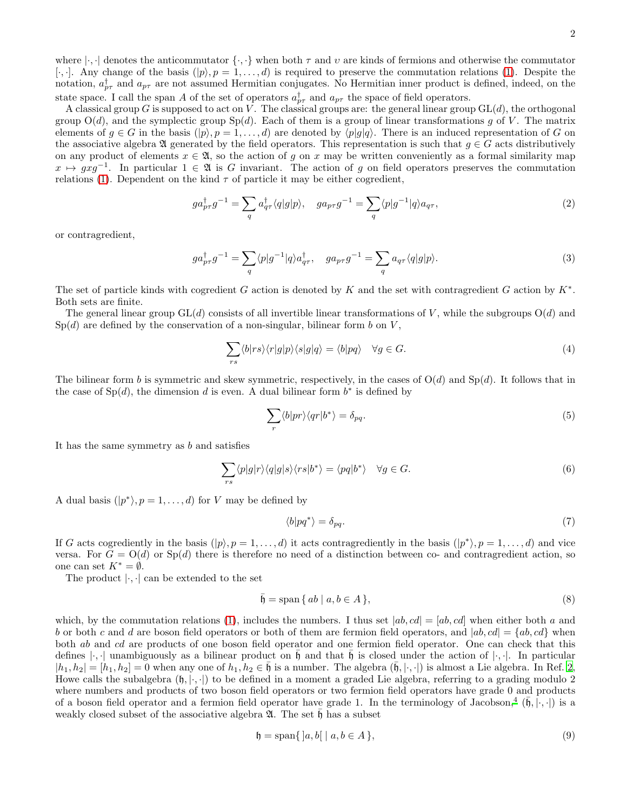where  $|\cdot, \cdot|$  denotes the anticommutator  $\{\cdot, \cdot\}$  when both  $\tau$  and  $\upsilon$  are kinds of fermions and otherwise the commutator [ $\cdot$ ,  $\cdot$ ]. Any change of the basis  $(|p\rangle, p = 1, \ldots, d)$  is required to preserve the commutation relations [\(1\)](#page-0-1). Despite the notation,  $a_{p\tau}^{\dagger}$  and  $a_{p\tau}$  are not assumed Hermitian conjugates. No Hermitian inner product is defined, indeed, on the state space. I call the span A of the set of operators  $a_{p\tau}^{\dagger}$  and  $a_{p\tau}$  the space of field operators.

A classical group G is supposed to act on V. The classical groups are: the general linear group  $GL(d)$ , the orthogonal group  $O(d)$ , and the symplectic group  $Sp(d)$ . Each of them is a group of linear transformations g of V. The matrix elements of  $g \in G$  in the basis  $(|p\rangle, p = 1, \ldots, d)$  are denoted by  $\langle p|g|q\rangle$ . There is an induced representation of G on the associative algebra  $\mathfrak A$  generated by the field operators. This representation is such that  $g \in G$  acts distributively on any product of elements  $x \in \mathfrak{A}$ , so the action of g on x may be written conveniently as a formal similarity map  $x \mapsto gxg^{-1}$ . In particular  $1 \in \mathfrak{A}$  is G invariant. The action of g on field operators preserves the commutation relations [\(1\)](#page-0-1). Dependent on the kind  $\tau$  of particle it may be either cogredient,

$$
ga_{p\tau}^{\dagger}g^{-1} = \sum_{q} a_{q\tau}^{\dagger} \langle q|g|p\rangle, \quad ga_{p\tau}g^{-1} = \sum_{q} \langle p|g^{-1}|q\rangle a_{q\tau},\tag{2}
$$

or contragredient,

$$
ga_{p\tau}^{\dagger}g^{-1} = \sum_{q} \langle p|g^{-1}|q\rangle a_{q\tau}^{\dagger}, \quad ga_{p\tau}g^{-1} = \sum_{q} a_{q\tau} \langle q|g|p\rangle. \tag{3}
$$

The set of particle kinds with cogredient G action is denoted by K and the set with contragredient G action by  $K^*$ . Both sets are finite.

The general linear group  $GL(d)$  consists of all invertible linear transformations of V, while the subgroups  $O(d)$  and  $Sp(d)$  are defined by the conservation of a non-singular, bilinear form b on V,

$$
\sum_{rs} \langle b|rs \rangle \langle r|g|p \rangle \langle s|g|q \rangle = \langle b|pq \rangle \quad \forall g \in G.
$$
\n(4)

The bilinear form b is symmetric and skew symmetric, respectively, in the cases of  $O(d)$  and  $Sp(d)$ . It follows that in the case of  $Sp(d)$ , the dimension d is even. A dual bilinear form  $b^*$  is defined by

$$
\sum_{r} \langle b|pr \rangle \langle qr|b^* \rangle = \delta_{pq}.\tag{5}
$$

It has the same symmetry as b and satisfies

$$
\sum_{rs} \langle p|g|r\rangle \langle q|g|s\rangle \langle rs|b^*\rangle = \langle pq|b^*\rangle \quad \forall g \in G.
$$
\n
$$
(6)
$$

A dual basis  $(|p^*\rangle, p = 1, \ldots, d)$  for V may be defined by

<span id="page-1-0"></span>
$$
\langle b|pq^*\rangle = \delta_{pq}.\tag{7}
$$

If G acts cogrediently in the basis  $(|p\rangle, p = 1, \ldots, d)$  it acts contragrediently in the basis  $(|p^*\rangle, p = 1, \ldots, d)$  and vice versa. For  $G = O(d)$  or  $Sp(d)$  there is therefore no need of a distinction between co- and contragredient action, so one can set  $K^* = \emptyset$ .

The product  $|\cdot,\cdot|$  can be extended to the set

$$
\bar{\mathfrak{h}} = \text{span}\{ ab \mid a, b \in A \},\tag{8}
$$

which, by the commutation relations [\(1\)](#page-0-1), includes the numbers. I thus set  $|ab, cd| = [ab, cd]$  when either both a and b or both c and d are boson field operators or both of them are fermion field operators, and  $|ab, cd| = {ab, cd}$  when both ab and cd are products of one boson field operator and one fermion field operator. One can check that this defines  $|\cdot|$  unambiguously as a bilinear product on  $\mathfrak h$  and that  $\mathfrak h$  is closed under the action of  $|\cdot|$ . In particular  $|h_1, h_2| = [h_1, h_2] = 0$  when any one of  $h_1, h_2 \in \mathfrak{h}$  is a number. The algebra  $(\mathfrak{h}, |\cdot, \cdot|)$  is almost a Lie algebra. In Ref. [2](#page-13-1), Howe calls the subalgebra  $(h, \cdot, \cdot)$  to be defined in a moment a graded Lie algebra, referring to a grading modulo 2 where numbers and products of two boson field operators or two fermion field operators have grade 0 and products of a boson field operator and a fermion field operator have grade 1. In the terminology of Jacobson,<sup>[4](#page-13-3)</sup>  $(\bar{\mathfrak{h}}, \bar{\mathfrak{h}}, \cdot)$  is a weakly closed subset of the associative algebra  $\mathfrak{A}$ . The set  $\bar{\mathfrak{h}}$  has a subset

$$
\mathfrak{h} = \text{span}\{|a, b| \mid a, b \in A\},\tag{9}
$$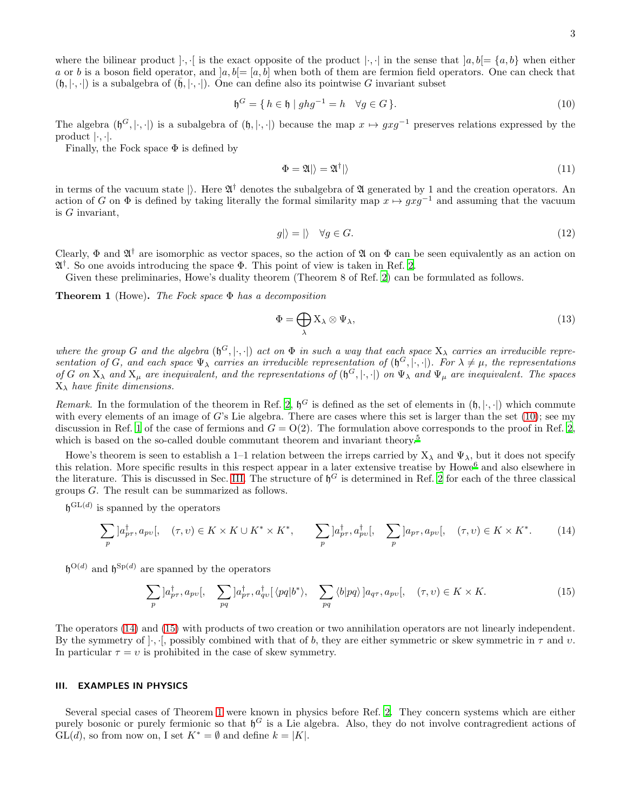where the bilinear product  $|\cdot, \cdot|$  is the exact opposite of the product  $|\cdot, \cdot|$  in the sense that  $|a, b| = \{a, b\}$  when either a or b is a boson field operator, and  $[a, b] = [a, b]$  when both of them are fermion field operators. One can check that  $(\mathfrak{h}, \langle \cdot, \cdot \rangle)$  is a subalgebra of  $(\mathfrak{h}, \langle \cdot, \cdot \rangle)$ . One can define also its pointwise G invariant subset

<span id="page-2-1"></span>
$$
\mathfrak{h}^G = \{ h \in \mathfrak{h} \mid ghg^{-1} = h \quad \forall g \in G \}. \tag{10}
$$

The algebra  $(\mathfrak{h}^G, |\cdot, \cdot|)$  is a subalgebra of  $(\mathfrak{h}, |\cdot, \cdot|)$  because the map  $x \mapsto gxg^{-1}$  preserves relations expressed by the product |·, ·|.

Finally, the Fock space  $\Phi$  is defined by

$$
\Phi = \mathfrak{A}|\rangle = \mathfrak{A}^\dagger|\rangle\tag{11}
$$

in terms of the vacuum state  $\vert$ ). Here  $\mathfrak{A}^{\dagger}$  denotes the subalgebra of  $\mathfrak A$  generated by 1 and the creation operators. An action of G on  $\Phi$  is defined by taking literally the formal similarity map  $x \mapsto gxg^{-1}$  and assuming that the vacuum is G invariant,

$$
g|\rangle = |\rangle \quad \forall g \in G. \tag{12}
$$

Clearly,  $\Phi$  and  $\mathfrak{A}^{\dagger}$  are isomorphic as vector spaces, so the action of  $\mathfrak{A}$  on  $\Phi$  can be seen equivalently as an action on A † . So one avoids introducing the space Φ. This point of view is taken in Ref. [2.](#page-13-1)

Given these preliminaries, Howe's duality theorem (Theorem 8 of Ref. [2](#page-13-1)) can be formulated as follows.

<span id="page-2-4"></span>**Theorem 1** (Howe). The Fock space  $\Phi$  has a decomposition

<span id="page-2-5"></span>
$$
\Phi = \bigoplus_{\lambda} X_{\lambda} \otimes \Psi_{\lambda},\tag{13}
$$

where the group G and the algebra  $(\mathfrak{h}^G, \langle \cdot, \cdot \rangle)$  act on  $\Phi$  in such a way that each space  $X_\lambda$  carries an irreducible representation of G, and each space  $\Psi_\lambda$  carries an irreducible representation of  $(\mathfrak{h}^G, |\cdot, \cdot|)$ . For  $\lambda \neq \mu$ , the representations of G on  $X_\lambda$  and  $X_\mu$  are inequivalent, and the representations of  $(\mathfrak{h}^G, |\cdot, \cdot|)$  on  $\Psi_\lambda$  and  $\Psi_\mu$  are inequivalent. The spaces  $X_{\lambda}$  have finite dimensions.

Remark. In the formulation of the theorem in Ref. [2,](#page-13-1)  $\mathfrak{h}^G$  is defined as the set of elements in  $(\mathfrak{h}, \lvert \cdot, \cdot \rvert)$  which commute with every elements of an image of G's Lie algebra. There are cases where this set is larger than the set  $(10)$ ; see my discussion in Ref. [1](#page-13-0) of the case of fermions and  $G = O(2)$ . The formulation above corresponds to the proof in Ref. [2](#page-13-1), which is based on the so-called double commutant theorem and invariant theory.<sup>[5](#page-13-4)</sup>

Howe's theorem is seen to establish a 1–1 relation between the irreps carried by  $X_{\lambda}$  and  $\Psi_{\lambda}$ , but it does not specify this relation. More specific results in this respect appear in a later extensive treatise by Howe<sup>[6](#page-13-5)</sup> and also elsewhere in the literature. This is discussed in Sec. [III.](#page-2-0) The structure of  $\mathfrak{h}^G$  is determined in Ref. [2](#page-13-1) for each of the three classical groups G. The result can be summarized as follows.

 $\mathfrak{h}^{\mathrm{GL}(d)}$  is spanned by the operators

<span id="page-2-2"></span>
$$
\sum_{p} \left| a_{p\tau}^{\dagger}, a_{p\upsilon} \right|, \quad (\tau, \upsilon) \in K \times K \cup K^* \times K^*, \qquad \sum_{p} \left| a_{p\tau}^{\dagger}, a_{p\upsilon}^{\dagger} \right|, \quad \sum_{p} \left| a_{p\tau}, a_{p\upsilon} \right|, \quad (\tau, \upsilon) \in K \times K^*.
$$
 (14)

 $\mathfrak{h}^{\mathrm{O}(d)}$  and  $\mathfrak{h}^{\mathrm{Sp}(d)}$  are spanned by the operators

<span id="page-2-3"></span>
$$
\sum_{p} |a_{p\tau}^{\dagger}, a_{p\upsilon}|, \quad \sum_{pq} |a_{p\tau}^{\dagger}, a_{q\upsilon}^{\dagger}| \langle pq|b^{*} \rangle, \quad \sum_{pq} \langle b|pq \rangle |a_{q\tau}, a_{p\upsilon}|, \quad (\tau, \upsilon) \in K \times K. \tag{15}
$$

The operators [\(14\)](#page-2-2) and [\(15\)](#page-2-3) with products of two creation or two annihilation operators are not linearly independent. By the symmetry of  $\lbrack \cdot,\cdot\rbrack$ , possibly combined with that of b, they are either symmetric or skew symmetric in  $\tau$  and  $v$ . In particular  $\tau = v$  is prohibited in the case of skew symmetry.

### <span id="page-2-0"></span>III. EXAMPLES IN PHYSICS

Several special cases of Theorem [1](#page-2-4) were known in physics before Ref. [2.](#page-13-1) They concern systems which are either purely bosonic or purely fermionic so that  $\mathfrak{h}^G$  is a Lie algebra. Also, they do not involve contragredient actions of  $GL(d)$ , so from now on, I set  $K^* = \emptyset$  and define  $k = |K|$ .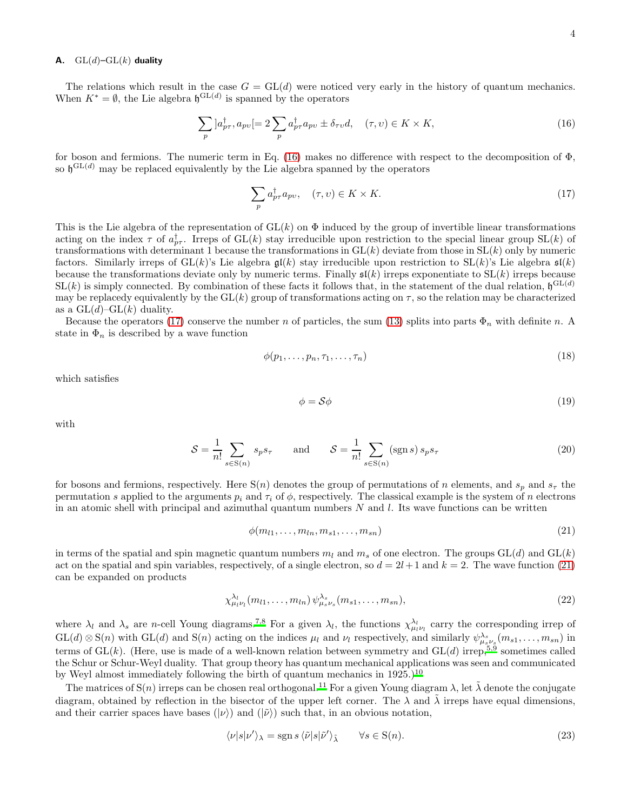# <span id="page-3-4"></span>A.  $GL(d)$ – $GL(k)$  duality

The relations which result in the case  $G = GL(d)$  were noticed very early in the history of quantum mechanics. When  $K^* = \emptyset$ , the Lie algebra  $\mathfrak{h}^{\mathrm{GL}(d)}$  is spanned by the operators

<span id="page-3-0"></span>
$$
\sum_{p} |a_{p\tau}^{\dagger}, a_{p\nu}| = 2 \sum_{p} a_{p\tau}^{\dagger} a_{p\nu} \pm \delta_{\tau\nu} d, \quad (\tau, \nu) \in K \times K,
$$
\n(16)

for boson and fermions. The numeric term in Eq. [\(16\)](#page-3-0) makes no difference with respect to the decomposition of Φ, so  $\mathfrak{h}^{\mathrm{GL}(d)}$  may be replaced equivalently by the Lie algebra spanned by the operators

<span id="page-3-1"></span>
$$
\sum_{p} a_{p\tau}^{\dagger} a_{p\nu}, \quad (\tau, \nu) \in K \times K. \tag{17}
$$

This is the Lie algebra of the representation of  $GL(k)$  on  $\Phi$  induced by the group of invertible linear transformations acting on the index  $\tau$  of  $a_{p\tau}^{\dagger}$ . Irreps of GL(k) stay irreducible upon restriction to the special linear group SL(k) of transformations with determinant 1 because the transformations in  $GL(k)$  deviate from those in  $SL(k)$  only by numeric factors. Similarly irreps of  $GL(k)$ 's Lie algebra  $\mathfrak{gl}(k)$  stay irreducible upon restriction to  $SL(k)$ 's Lie algebra  $\mathfrak{sl}(k)$ because the transformations deviate only by numeric terms. Finally  $\mathfrak{sl}(k)$  irreps exponentiate to  $SL(k)$  irreps because  $SL(k)$  is simply connected. By combination of these facts it follows that, in the statement of the dual relation,  $\mathfrak{h}^{GL(d)}$ may be replacedy equivalently by the  $GL(k)$  group of transformations acting on  $\tau$ , so the relation may be characterized as a  $GL(d)-GL(k)$  duality.

Because the operators [\(17\)](#page-3-1) conserve the number n of particles, the sum [\(13\)](#page-2-5) splits into parts  $\Phi_n$  with definite n. A state in  $\Phi_n$  is described by a wave function

$$
\phi(p_1, \ldots, p_n, \tau_1, \ldots, \tau_n) \tag{18}
$$

which satisfies

with

$$
\phi = \mathcal{S}\phi \tag{19}
$$

$$
S = \frac{1}{n!} \sum_{s \in S(n)} s_p s_\tau \qquad \text{and} \qquad S = \frac{1}{n!} \sum_{s \in S(n)} (\text{sgn } s) s_p s_\tau \tag{20}
$$

for bosons and fermions, respectively. Here  $S(n)$  denotes the group of permutations of n elements, and  $s_p$  and  $s_\tau$  the permutation s applied to the arguments  $p_i$  and  $\tau_i$  of  $\phi$ , respectively. The classical example is the system of n electrons in an atomic shell with principal and azimuthal quantum numbers  $N$  and  $l$ . Its wave functions can be written

<span id="page-3-2"></span>
$$
\phi(m_{l1},\ldots,m_{ln},m_{s1},\ldots,m_{sn})\tag{21}
$$

in terms of the spatial and spin magnetic quantum numbers  $m_l$  and  $m_s$  of one electron. The groups  $GL(d)$  and  $GL(k)$ act on the spatial and spin variables, respectively, of a single electron, so  $d = 2l + 1$  and  $k = 2$ . The wave function [\(21\)](#page-3-2) can be expanded on products

<span id="page-3-3"></span>
$$
\chi^{\lambda_l}_{\mu_l \nu_l}(m_{l1}, \dots, m_{ln}) \psi^{\lambda_s}_{\mu_s \nu_s}(m_{s1}, \dots, m_{sn}), \qquad (22)
$$

where  $\lambda_l$  and  $\lambda_s$  are *n*-cell Young diagrams.<sup>[7](#page-13-6)[,8](#page-13-7)</sup> For a given  $\lambda_l$ , the functions  $\chi^{\lambda_l}_{\mu_l \nu_l}$  carry the corresponding irrep of  $GL(d) \otimes S(n)$  with  $GL(d)$  and  $S(n)$  acting on the indices  $\mu_l$  and  $\nu_l$  respectively, and similarly  $\psi_{\mu_s\nu_s}^{\lambda_s}(m_{s1},\ldots,m_{sn})$  in terms of  $GL(k)$ . (Here[,](#page-13-4) use is made of a well-known relation between symmetry and  $GL(d)$  irrep,  $5,9$  $5,9$  sometimes called the Schur or Schur-Weyl duality. That group theory has quantum mechanical applications was seen and communicated by Weyl almost immediately following the birth of quantum mechanics in  $1925$ .)<sup>[10](#page-13-9)</sup>

The matrices of  $S(n)$  irreps can be chosen real orthogonal.<sup>[11](#page-13-10)</sup> For a given Young diagram  $\lambda$ , let  $\tilde{\lambda}$  denote the conjugate diagram, obtained by reflection in the bisector of the upper left corner. The  $\lambda$  and  $\tilde{\lambda}$  irreps have equal dimensions, and their carrier spaces have bases ( $|\nu\rangle$ ) and ( $|\tilde{\nu}\rangle$ ) such that, in an obvious notation,

$$
\langle \nu | s | \nu' \rangle_{\lambda} = \text{sgn } s \langle \tilde{\nu} | s | \tilde{\nu}' \rangle_{\tilde{\lambda}} \qquad \forall s \in \mathcal{S}(n). \tag{23}
$$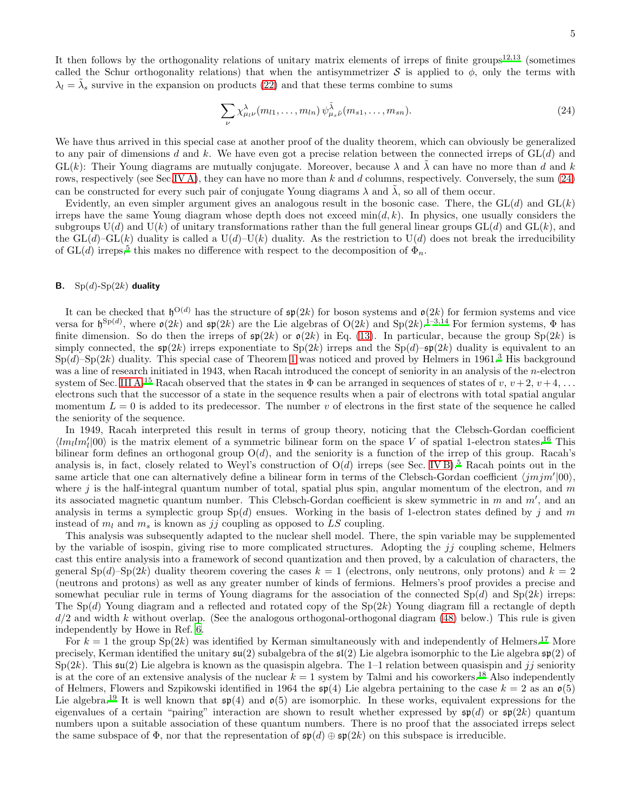It then follows by the orthogonality relations of unitary matrix elements of irreps of finite groups<sup>[12,](#page-13-11)[13](#page-13-12)</sup> (sometimes called the Schur orthogonality relations) that when the antisymmetrizer S is applied to  $\phi$ , only the terms with  $\lambda_l = \tilde{\lambda}_s$  survive in the expansion on products [\(22\)](#page-3-3) and that these terms combine to sums

<span id="page-4-0"></span>
$$
\sum_{\nu} \chi^{\lambda}_{\mu_l \nu}(m_{l1}, \dots, m_{ln}) \psi^{\tilde{\lambda}}_{\mu_s \tilde{\nu}}(m_{s1}, \dots, m_{sn}). \tag{24}
$$

We have thus arrived in this special case at another proof of the duality theorem, which can obviously be generalized to any pair of dimensions d and k. We have even got a precise relation between the connected irreps of  $GL(d)$  and  $GL(k)$ : Their Young diagrams are mutually conjugate. Moreover, because  $\lambda$  and  $\tilde{\lambda}$  can have no more than d and k rows, respectively (see Sec[.IV A\)](#page-6-1), they can have no more than k and d columns, respectively. Conversely, the sum  $(24)$ can be constructed for every such pair of conjugate Young diagrams  $\lambda$  and  $\lambda$ , so all of them occur.

Evidently, an even simpler argument gives an analogous result in the bosonic case. There, the  $GL(d)$  and  $GL(k)$ irreps have the same Young diagram whose depth does not exceed  $min(d, k)$ . In physics, one usually considers the subgroups  $U(d)$  and  $U(k)$  of unitary transformations rather than the full general linear groups  $GL(d)$  and  $GL(k)$ , and the  $GL(d)-GL(k)$  duality is called a  $U(d)-U(k)$  duality. As the restriction to  $U(d)$  does not break the irreducibility of GL(d) irreps,<sup>[5](#page-13-4)</sup> this makes no difference with respect to the decomposition of  $\Phi_n$ .

# <span id="page-4-1"></span>**B.**  $Sp(d)$ - $Sp(2k)$  duality

It can be checked that  $\mathfrak{h}^{\mathrm{O}(d)}$  has the structure of  $\mathfrak{sp}(2k)$  for boson systems and  $\mathfrak{o}(2k)$  for fermion systems and vice versa for  $\mathfrak{h}^{\mathrm{Sp}(d)}$ , where  $\mathfrak{o}(2k)$  and  $\mathfrak{sp}(2k)$  are the Lie algebras of  $\mathrm{O}(2k)$  and  $\mathrm{Sp}(2k)$ .<sup>[1](#page-13-0)[–3](#page-13-2)[,14](#page-13-13)</sup> For fermion systems,  $\Phi$  has finite dimension. So do then the irreps of  $\mathfrak{sp}(2k)$  or  $\mathfrak{o}(2k)$  in Eq. [\(13\)](#page-2-5). In particular, because the group  $Sp(2k)$  is simply connected, the  $\mathfrak{sp}(2k)$  irreps exponentiate to  $\text{Sp}(2k)$  irreps and the  $\text{Sp}(d)$ – $\mathfrak{sp}(2k)$  duality is equivalent to an  $Sp(d)$ – $Sp(2k)$  duality. This special case of Theorem [1](#page-2-4) was noticed and proved by Helmers in 1961[.](#page-13-2)<sup>3</sup> His background was a line of research initiated in 1943, when Racah introduced the concept of seniority in an analysis of the n-electron system of Sec. [III A.](#page-3-4)<sup>[15](#page-13-14)</sup> Racah observed that the states in  $\Phi$  can be arranged in sequences of states of v,  $v + 2$ ,  $v + 4$ , ... electrons such that the successor of a state in the sequence results when a pair of electrons with total spatial angular momentum  $L = 0$  is added to its predecessor. The number v of electrons in the first state of the sequence he called the seniority of the sequence.

In 1949, Racah interpreted this result in terms of group theory, noticing that the Clebsch-Gordan coefficient  $\langle lm_llm_l'|00\rangle$  is the matrix element of a symmetric bilinear form on the space V of spatial 1-electron states.<sup>[16](#page-13-15)</sup> This bilinear form defines an orthogonal group  $O(d)$ , and the seniority is a function of the irrep of this group. Racah's analysis is, in fact, closely related to Weyl's construction of  $O(d)$  irreps (see Sec. [IV B\)](#page-7-0).<sup>[5](#page-13-4)</sup> Racah points out in the same article that one can alternatively define a bilinear form in terms of the Clebsch-Gordan coefficient  $\langle jmjm'|00\rangle$ , where j is the half-integral quantum number of total, spatial plus spin, angular momentum of the electron, and  $m$ its associated magnetic quantum number. This Clebsch-Gordan coefficient is skew symmetric in  $m$  and  $m'$ , and an analysis in terms a symplectic group  $Sp(d)$  ensues. Working in the basis of 1-electron states defined by j and m instead of  $m_l$  and  $m_s$  is known as jj coupling as opposed to LS coupling.

This analysis was subsequently adapted to the nuclear shell model. There, the spin variable may be supplemented by the variable of isospin, giving rise to more complicated structures. Adopting the  $ji$  coupling scheme, Helmers cast this entire analysis into a framework of second quantization and then proved, by a calculation of characters, the general  $Sp(d)$ – $Sp(2k)$  duality theorem covering the cases  $k = 1$  (electrons, only neutrons, only protons) and  $k = 2$ (neutrons and protons) as well as any greater number of kinds of fermions. Helmers's proof provides a precise and somewhat peculiar rule in terms of Young diagrams for the association of the connected  $Sp(d)$  and  $Sp(2k)$  irreps: The  $Sp(d)$  Young diagram and a reflected and rotated copy of the  $Sp(2k)$  Young diagram fill a rectangle of depth  $d/2$  and width k without overlap. (See the analogous orthogonal-orthogonal diagram [\(48\)](#page-9-1) below.) This rule is given independently by Howe in Ref. [6.](#page-13-5)

For  $k = 1$  the group  $Sp(2k)$  was identified by Kerman simultaneously with and independently of Helmers.<sup>[17](#page-13-16)</sup> More precisely, Kerman identified the unitary  $\mathfrak{su}(2)$  subalgebra of the  $\mathfrak{sl}(2)$  Lie algebra isomorphic to the Lie algebra  $\mathfrak{sp}(2)$  of  $Sp(2k)$ . This  $\mathfrak{su}(2)$  Lie algebra is known as the quasispin algebra. The 1–1 relation between quasispin and jj seniority is at the core of an extensive analysis of the nuclear  $k = 1$  system by Talmi and his coworkers.<sup>[18](#page-13-17)</sup> Also independently of Helmers, Flowers and Szpikowski identified in 1964 the  $\mathfrak{sp}(4)$  Lie algebra pertaining to the case  $k = 2$  as an  $\mathfrak{o}(5)$ Lie algebra.<sup>[19](#page-13-18)</sup> It is well known that  $\mathfrak{sp}(4)$  and  $\mathfrak{o}(5)$  are isomorphic. In these works, equivalent expressions for the eigenvalues of a certain "pairing" interaction are shown to result whether expressed by  $\mathfrak{sp}(d)$  or  $\mathfrak{sp}(2k)$  quantum numbers upon a suitable association of these quantum numbers. There is no proof that the associated irreps select the same subspace of  $\Phi$ , nor that the representation of  $\mathfrak{sp}(d) \oplus \mathfrak{sp}(2k)$  on this subspace is irreducible.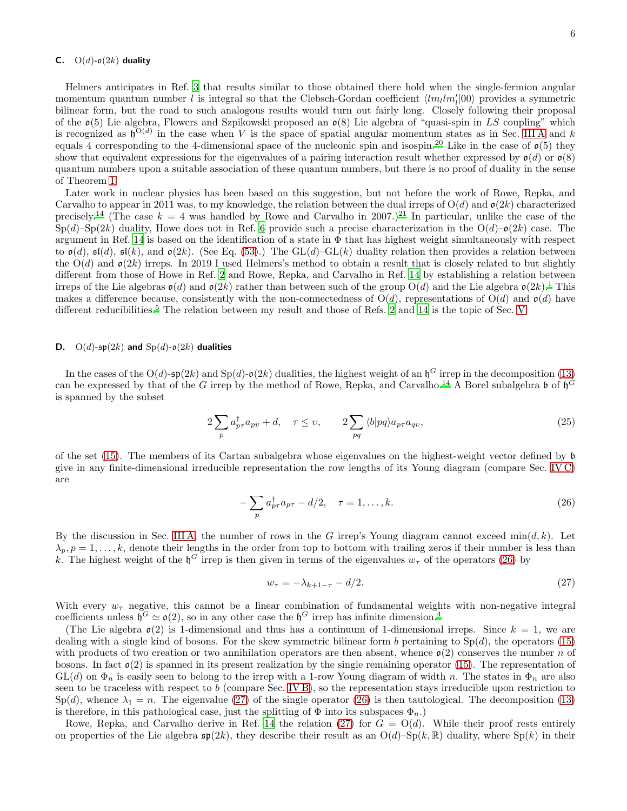# <span id="page-5-2"></span>C.  $O(d)$ - $o(2k)$  duality

Helmers anticipates in Ref. [3](#page-13-2) that results similar to those obtained there hold when the single-fermion angular momentum quantum number l is integral so that the Clebsch-Gordan coefficient  $\langle lm_llm_l'|00\rangle$  provides a symmetric bilinear form, but the road to such analogous results would turn out fairly long. Closely following their proposal of the  $\mathfrak{o}(5)$  Lie algebra, Flowers and Szpikowski proposed an  $\mathfrak{o}(8)$  Lie algebra of "quasi-spin in LS coupling" which is recognized as  $\mathfrak{h}^{\mathrm{O}(d)}$  in the case when V is the space of spatial angular momentum states as in Sec. [III A](#page-3-4) and k equals 4 corresponding to the 4-dimensional space of the nucleonic spin and isospin.<sup>[20](#page-13-19)</sup> Like in the case of  $\mathfrak{o}(5)$  they show that equivalent expressions for the eigenvalues of a pairing interaction result whether expressed by  $o(d)$  or  $o(8)$ quantum numbers upon a suitable association of these quantum numbers, but there is no proof of duality in the sense of Theorem [1.](#page-2-4)

Later work in nuclear physics has been based on this suggestion, but not before the work of Rowe, Repka, and Carvalho to appear in 2011 was, to my knowledge, the relation between the dual irreps of  $O(d)$  and  $o(2k)$  characterized precisely.<sup>[14](#page-13-13)</sup> (The case  $k = 4$  was handled by Rowe and Carvalho in 2007.)<sup>[21](#page-13-20)</sup> In particular, unlike the case of the  $Sp(d)$ – $Sp(2k)$  duality, Howe does not in Ref. [6](#page-13-5) provide such a precise characterization in the  $O(d)$ – $o(2k)$  case. The argument in Ref. [14](#page-13-13) is based on the identification of a state in  $\Phi$  that has highest weight simultaneously with respect to  $\mathfrak{o}(d)$ ,  $\mathfrak{sl}(d)$ ,  $\mathfrak{sl}(k)$ , and  $\mathfrak{o}(2k)$ . (See Eq. [\(53\)](#page-11-1).) The GL(d)–GL(k) duality relation then provides a relation between the  $O(d)$  and  $o(2k)$  irreps. In 2019 I used Helmers's method to obtain a result that is closely related to but slightly different from those of Howe in Ref. [2](#page-13-1) and Rowe, Repka, and Carvalho in Ref. [14](#page-13-13) by establishing a relation between irreps of the Lie algebras  $\mathfrak{o}(d)$  and  $\mathfrak{o}(2k)$  rather than between such of the group  $O(d)$  and the Lie algebra  $\mathfrak{o}(2k)$ .<sup>[1](#page-13-0)</sup> This makes a difference because, consistently with the non-connectedness of  $O(d)$ , representations of  $O(d)$  and  $o(d)$  have different reducibilities.<sup>[5](#page-13-4)</sup> The relation between my result and those of Refs. [2](#page-13-1) and [14](#page-13-13) is the topic of Sec. [V.](#page-9-0)

### **D.** O(d)- $\mathfrak{sp}(2k)$  and  $\text{Sp}(d)$ - $\mathfrak{o}(2k)$  dualities

In the cases of the O(d)- $\mathfrak{sp}(2k)$  and  $\text{Sp}(d)$ - $\mathfrak{o}(2k)$  dualities, the highest weight of an  $\mathfrak{h}^G$  irrep in the decomposition [\(13\)](#page-2-5) can be expressed by that of the G irrep by the method of Rowe, Repka, and Carvalho.<sup>[14](#page-13-13)</sup> A Borel subalgebra  $\mathfrak b$  of  $\mathfrak h^G$ is spanned by the subset

$$
2\sum_{p} a_{p\tau}^{\dagger} a_{p\upsilon} + d, \quad \tau \leq \upsilon, \qquad 2\sum_{pq} \langle b|pq \rangle a_{p\tau} a_{q\upsilon}, \tag{25}
$$

of the set [\(15\)](#page-2-3). The members of its Cartan subalgebra whose eigenvalues on the highest-weight vector defined by b give in any finite-dimensional irreducible representation the row lengths of its Young diagram (compare Sec. [IV C\)](#page-8-0) are

<span id="page-5-0"></span>
$$
-\sum_{p} a_{p\tau}^{\dagger} a_{p\tau} - d/2, \quad \tau = 1, \dots, k. \tag{26}
$$

By the discussion in Sec. [III A,](#page-3-4) the number of rows in the G irrep's Young diagram cannot exceed  $min(d, k)$ . Let  $\lambda_p, p = 1, \ldots, k$ , denote their lengths in the order from top to bottom with trailing zeros if their number is less than k. The highest weight of the  $\mathfrak{h}^G$  irrep is then given in terms of the eigenvalues  $w_{\tau}$  of the operators [\(26\)](#page-5-0) by

<span id="page-5-1"></span>
$$
w_{\tau} = -\lambda_{k+1-\tau} - d/2. \tag{27}
$$

With every  $w_{\tau}$  negative, this cannot be a linear combination of fundamental weights with non-negative integral coefficients unless  $\mathfrak{h}^G \simeq \mathfrak{o}(2)$ , so in any other case the  $\mathfrak{h}^G$  irrep has infinite dimension.<sup>[4](#page-13-3)</sup>

(The Lie algebra  $\mathfrak{o}(2)$  is 1-dimensional and thus has a continuum of 1-dimensional irreps. Since  $k = 1$ , we are dealing with a single kind of bosons. For the skew symmetric bilinear form b pertaining to  $Sp(d)$ , the operators [\(15\)](#page-2-3) with products of two creation or two annihilation operators are then absent, whence  $\mathfrak{o}(2)$  conserves the number n of bosons. In fact  $\mathfrak{o}(2)$  is spanned in its present realization by the single remaining operator [\(15\)](#page-2-3). The representation of  $GL(d)$  on  $\Phi_n$  is easily seen to belong to the irrep with a 1-row Young diagram of width n. The states in  $\Phi_n$  are also seen to be traceless with respect to  $b$  (compare Sec. [IV B\)](#page-7-0), so the representation stays irreducible upon restriction to  $Sp(d)$ , whence  $\lambda_1 = n$ . The eigenvalue [\(27\)](#page-5-1) of the single operator [\(26\)](#page-5-0) is then tautological. The decomposition [\(13\)](#page-2-5) is therefore, in this pathological case, just the splitting of  $\Phi$  into its subspaces  $\Phi_n$ .)

Rowe, Repka, and Carvalho derive in Ref. [14](#page-13-13) the relation [\(27\)](#page-5-1) for  $G = O(d)$ . While their proof rests entirely on properties of the Lie algebra  $\mathfrak{sp}(2k)$ , they describe their result as an  $O(d)$ –Sp $(k, \mathbb{R})$  duality, where Sp $(k)$  in their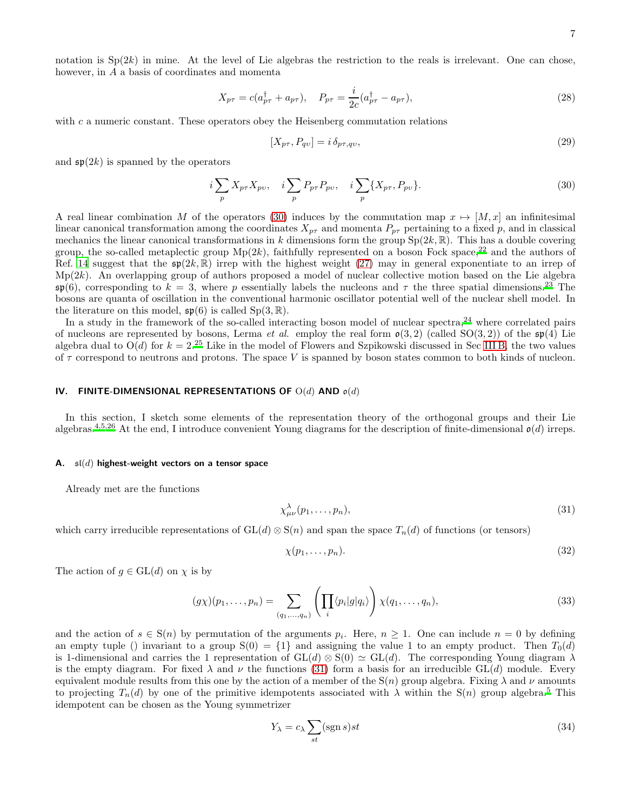notation is  $Sp(2k)$  in mine. At the level of Lie algebras the restriction to the reals is irrelevant. One can chose, however, in A a basis of coordinates and momenta

$$
X_{p\tau} = c(a_{p\tau}^{\dagger} + a_{p\tau}), \quad P_{p\tau} = \frac{i}{2c}(a_{p\tau}^{\dagger} - a_{p\tau}), \tag{28}
$$

with c a numeric constant. These operators obey the Heisenberg commutation relations

$$
[X_{p\tau}, P_{qv}] = i \,\delta_{p\tau, qv},\tag{29}
$$

and  $\mathfrak{sp}(2k)$  is spanned by the operators

<span id="page-6-2"></span>
$$
i\sum_{p} X_{p\tau} X_{p\upsilon}, \quad i\sum_{p} P_{p\tau} P_{p\upsilon}, \quad i\sum_{p} \{X_{p\tau}, P_{p\upsilon}\}.
$$
 (30)

A real linear combination M of the operators [\(30\)](#page-6-2) induces by the commutation map  $x \mapsto [M, x]$  an infinitesimal linear canonical transformation among the coordinates  $X_{p\tau}$  and momenta  $P_{p\tau}$  pertaining to a fixed p, and in classical mechanics the linear canonical transformations in k dimensions form the group  $Sp(2k, \mathbb{R})$ . This has a double covering group, the so-called metaplectic group  $Mp(2k)$ , faithfully represented on a boson Fock space,<sup>[22](#page-13-21)</sup> and the authors of Ref. [14](#page-13-13) suggest that the  $\mathfrak{sp}(2k,\mathbb{R})$  irrep with the highest weight [\(27\)](#page-5-1) may in general exponentiate to an irrep of  $Mp(2k)$ . An overlapping group of authors proposed a model of nuclear collective motion based on the Lie algebra  $\mathfrak{sp}(6)$ , corresponding to  $k = 3$ , where p essentially labels the nucleons and  $\tau$  the three spatial dimensions.<sup>[23](#page-13-22)</sup> The bosons are quanta of oscillation in the conventional harmonic oscillator potential well of the nuclear shell model. In the literature on this model,  $\mathfrak{sp}(6)$  is called  $Sp(3,\mathbb{R})$ .

In a study in the framework of the so-called interacting boson model of nuclear spectra,  $^{24}$  $^{24}$  $^{24}$  where correlated pairs of nucleons are represented by bosons, Lerma *et al.* employ the real form  $\mathfrak{o}(3,2)$  (called SO(3,2)) of the  $\mathfrak{sp}(4)$  Lie algebra dual to  $O(d)$  for  $k = 2^{25}$  $k = 2^{25}$  $k = 2^{25}$  Like in the model of Flowers and Szpikowski discussed in Sec [III B,](#page-4-1) the two values of  $\tau$  correspond to neutrons and protons. The space V is spanned by boson states common to both kinds of nucleon.

#### <span id="page-6-0"></span>IV. FINITE-DIMENSIONAL REPRESENTATIONS OF  $O(d)$  AND  $o(d)$

In this section, I sketch some elements of the representation theory of the orthogonal groups and their Lie algebras.<sup>[4](#page-13-3)[,5](#page-13-4)[,26](#page-14-1)</sup> At the end, I introduce convenient Young diagrams for the description of finite-dimensional  $\mathfrak{o}(d)$  irreps.

#### <span id="page-6-1"></span>A.  $\mathfrak{sl}(d)$  highest-weight vectors on a tensor space

Already met are the functions

<span id="page-6-3"></span>
$$
\chi^{\lambda}_{\mu\nu}(p_1,\ldots,p_n),\tag{31}
$$

which carry irreducible representations of  $GL(d) \otimes S(n)$  and span the space  $T_n(d)$  of functions (or tensors)

$$
\chi(p_1,\ldots,p_n). \tag{32}
$$

The action of  $g \in GL(d)$  on  $\chi$  is by

$$
(g\chi)(p_1,\ldots,p_n) = \sum_{(q_1,\ldots,q_n)} \left(\prod_i \langle p_i|g|q_i\rangle\right) \chi(q_1,\ldots,q_n),\tag{33}
$$

and the action of  $s \in S(n)$  by permutation of the arguments  $p_i$ . Here,  $n \geq 1$ . One can include  $n = 0$  by defining an empty tuple () invariant to a group  $S(0) = \{1\}$  and assigning the value 1 to an empty product. Then  $T_0(d)$ is 1-dimensional and carries the 1 representation of  $GL(d) \otimes S(0) \simeq GL(d)$ . The corresponding Young diagram  $\lambda$ is the empty diagram. For fixed  $\lambda$  and  $\nu$  the functions [\(31\)](#page-6-3) form a basis for an irreducible GL(d) module. Every equivalent module results from this one by the action of a member of the  $S(n)$  group algebra. Fixing  $\lambda$  and  $\nu$  amounts to projecting  $T_n(d)$  by one of the primitive idempotents associated with  $\lambda$  within the S(n) group algebra.<sup>[5](#page-13-4)</sup> This idempotent can be chosen as the Young symmetrizer

<span id="page-6-4"></span>
$$
Y_{\lambda} = c_{\lambda} \sum_{st} (\text{sgn } s) st \tag{34}
$$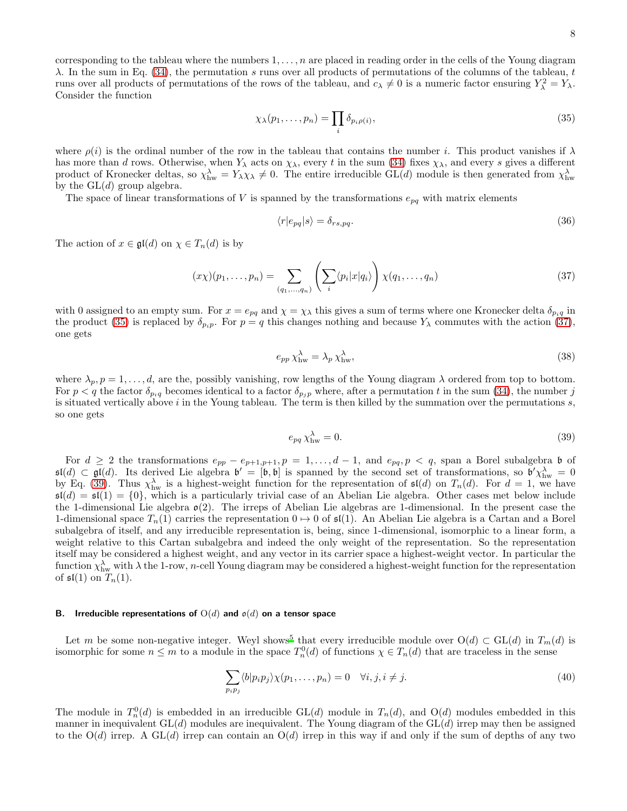corresponding to the tableau where the numbers  $1, \ldots, n$  are placed in reading order in the cells of the Young diagram  $\lambda$ . In the sum in Eq. [\(34\)](#page-6-4), the permutation s runs over all products of permutations of the columns of the tableau, t runs over all products of permutations of the rows of the tableau, and  $c_{\lambda} \neq 0$  is a numeric factor ensuring  $Y_{\lambda}^2 = Y_{\lambda}$ . Consider the function

<span id="page-7-1"></span>
$$
\chi_{\lambda}(p_1,\ldots,p_n) = \prod_i \delta_{p_i\rho(i)},\tag{35}
$$

where  $\rho(i)$  is the ordinal number of the row in the tableau that contains the number i. This product vanishes if  $\lambda$ has more than d rows. Otherwise, when  $Y_\lambda$  acts on  $\chi_\lambda$ , every t in the sum [\(34\)](#page-6-4) fixes  $\chi_\lambda$ , and every s gives a different product of Kronecker deltas, so  $\chi^{\lambda}_{hw} = Y_{\lambda}\chi_{\lambda} \neq 0$ . The entire irreducible  $GL(d)$  module is then generated from  $\chi^{\lambda}_{hw}$ by the  $GL(d)$  group algebra.

The space of linear transformations of V is spanned by the transformations  $e_{pq}$  with matrix elements

$$
\langle r|e_{pq}|s\rangle = \delta_{rs,pq}.\tag{36}
$$

The action of  $x \in \mathfrak{gl}(d)$  on  $\chi \in T_n(d)$  is by

<span id="page-7-2"></span>
$$
(x\chi)(p_1,\ldots,p_n) = \sum_{(q_1,\ldots,q_n)} \left(\sum_i \langle p_i | x | q_i \rangle \right) \chi(q_1,\ldots,q_n) \tag{37}
$$

with 0 assigned to an empty sum. For  $x = e_{pq}$  and  $\chi = \chi_{\lambda}$  this gives a sum of terms where one Kronecker delta  $\delta_{p_i q}$  in the product [\(35\)](#page-7-1) is replaced by  $\delta_{p_ip}$ . For  $p = q$  this changes nothing and because  $Y_\lambda$  commutes with the action [\(37\)](#page-7-2), one gets

<span id="page-7-4"></span>
$$
e_{pp} \chi^{\lambda}_{hw} = \lambda_p \chi^{\lambda}_{hw},\tag{38}
$$

where  $\lambda_p$ ,  $p = 1, \ldots, d$ , are the, possibly vanishing, row lengths of the Young diagram  $\lambda$  ordered from top to bottom. For  $p < q$  the factor  $\delta_{p_i q}$  becomes identical to a factor  $\delta_{p_i p}$  where, after a permutation t in the sum [\(34\)](#page-6-4), the number j is situated vertically above  $i$  in the Young tableau. The term is then killed by the summation over the permutations  $s$ , so one gets

<span id="page-7-3"></span>
$$
e_{pq} \chi^{\lambda}_{hw} = 0. \tag{39}
$$

For  $d \geq 2$  the transformations  $e_{pp} - e_{p+1,p+1}, p = 1, \ldots, d-1$ , and  $e_{pq}, p < q$ , span a Borel subalgebra b of  $\mathfrak{sl}(d) \subset \mathfrak{gl}(d)$ . Its derived Lie algebra  $\mathfrak{b}' = [\mathfrak{b}, \mathfrak{b}]$  is spanned by the second set of transformations, so  $\mathfrak{b}' \chi_{\rm hw}^{\lambda} = 0$ by Eq. [\(39\)](#page-7-3). Thus  $\chi_{\text{hw}}^{\lambda}$  is a highest-weight function for the representation of  $\mathfrak{sl}(d)$  on  $T_n(d)$ . For  $d=1$ , we have  $\mathfrak{sl}(d) = \mathfrak{sl}(1) = \{0\}$ , which is a particularly trivial case of an Abelian Lie algebra. Other cases met below include the 1-dimensional Lie algebra  $\mathfrak{o}(2)$ . The irreps of Abelian Lie algebras are 1-dimensional. In the present case the 1-dimensional space  $T_n(1)$  carries the representation  $0 \mapsto 0$  of  $\mathfrak{sl}(1)$ . An Abelian Lie algebra is a Cartan and a Borel subalgebra of itself, and any irreducible representation is, being, since 1-dimensional, isomorphic to a linear form, a weight relative to this Cartan subalgebra and indeed the only weight of the representation. So the representation itself may be considered a highest weight, and any vector in its carrier space a highest-weight vector. In particular the function  $\chi^{\lambda}_{\text{hw}}$  with  $\lambda$  the 1-row, *n*-cell Young diagram may be considered a highest-weight function for the representation of  $\mathfrak{sl}(1)$  on  $T_n(1)$ .

# <span id="page-7-0"></span>B. Irreducible representations of  $O(d)$  and  $o(d)$  on a tensor space

Let m be some non-negative integer. Weyl shows<sup>[5](#page-13-4)</sup> that every irreducible module over  $O(d) \subset GL(d)$  in  $T_m(d)$  is isomorphic for some  $n \leq m$  to a module in the space  $T_n^0(d)$  of functions  $\chi \in T_n(d)$  that are traceless in the sense

$$
\sum_{p_i p_j} \langle b | p_i p_j \rangle \chi(p_1, \dots, p_n) = 0 \quad \forall i, j, i \neq j.
$$
\n(40)

The module in  $T_n^0(d)$  is embedded in an irreducible  $GL(d)$  module in  $T_n(d)$ , and  $O(d)$  modules embedded in this manner in inequivalent  $GL(d)$  modules are inequivalent. The Young diagram of the  $GL(d)$  irrep may then be assigned to the  $O(d)$  irrep. A  $GL(d)$  irrep can contain an  $O(d)$  irrep in this way if and only if the sum of depths of any two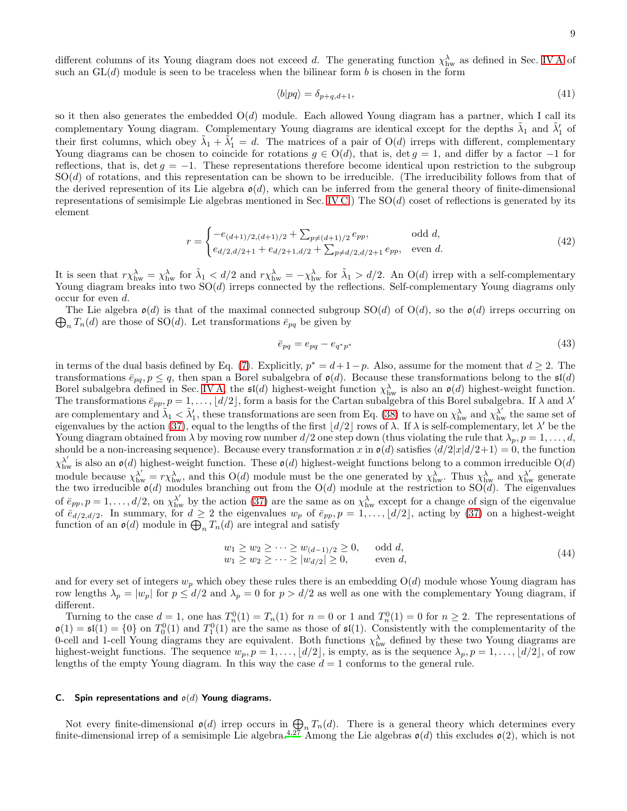different columns of its Young diagram does not exceed d. The generating function  $\chi^{\lambda}_{hw}$  as defined in Sec. [IV A](#page-6-1) of such an  $GL(d)$  module is seen to be traceless when the bilinear form b is chosen in the form

$$
\langle b|pq\rangle = \delta_{p+q,d+1},\tag{41}
$$

so it then also generates the embedded  $O(d)$  module. Each allowed Young diagram has a partner, which I call its complementary Young diagram. Complementary Young diagrams are identical except for the depths  $\tilde{\lambda}_1$  and  $\tilde{\lambda}'_1$  of their first columns, which obey  $\tilde{\lambda}_1 + \tilde{\lambda}'_1 = d$ . The matrices of a pair of  $O(d)$  irreps with different, complementary Young diagrams can be chosen to coincide for rotations  $q \in O(d)$ , that is, det  $q = 1$ , and differ by a factor -1 for reflections, that is,  $\det g = -1$ . These representations therefore become identical upon restriction to the subgroup SO(d) of rotations, and this representation can be shown to be irreducible. (The irreducibility follows from that of the derived represention of its Lie algebra  $\mathfrak{o}(d)$ , which can be inferred from the general theory of finite-dimensional representations of semisimple Lie algebras mentioned in Sec. [IV C.](#page-8-0)) The  $SO(d)$  coset of reflections is generated by its element

<span id="page-8-2"></span>
$$
r = \begin{cases} -e_{(d+1)/2,(d+1)/2} + \sum_{p \neq (d+1)/2} e_{pp}, & \text{odd } d, \\ e_{d/2,d/2+1} + e_{d/2+1,d/2} + \sum_{p \neq d/2,d/2+1} e_{pp}, & \text{even } d. \end{cases} (42)
$$

It is seen that  $r\chi_{\text{hw}}^{\lambda} = \chi_{\text{hw}}^{\lambda}$  for  $\tilde{\lambda}_1 < d/2$  and  $r\chi_{\text{hw}}^{\lambda} = -\chi_{\text{hw}}^{\lambda}$  for  $\tilde{\lambda}_1 > d/2$ . An O(d) irrep with a self-complementary Young diagram breaks into two  $SO(d)$  irreps connected by the reflections. Self-complementary Young diagrams only occur for even d.

 $\bigoplus_n T_n(d)$  are those of SO(d). Let transformations  $\bar{e}_{pq}$  be given by The Lie algebra  $\mathfrak{o}(d)$  is that of the maximal connected subgroup  $SO(d)$  of  $O(d)$ , so the  $\mathfrak{o}(d)$  irreps occurring on

<span id="page-8-3"></span>
$$
\bar{e}_{pq} = e_{pq} - e_{q^*p^*} \tag{43}
$$

in terms of the dual basis defined by Eq. [\(7\)](#page-1-0). Explicitly,  $p^* = d + 1 - p$ . Also, assume for the moment that  $d \geq 2$ . The transformations  $\bar{e}_{pq}, p \leq q$ , then span a Borel subalgebra of  $\mathfrak{o}(d)$ . Because these transformations belong to the  $\mathfrak{sl}(d)$ Borel subalgebra defined in Sec. [IV A,](#page-6-1) the  $\mathfrak{sl}(d)$  highest-weight function  $\chi_{\text{hw}}^{\lambda}$  is also an  $\mathfrak{o}(d)$  highest-weight function. The transformations  $\bar{e}_{pp}, p = 1, \ldots, \lfloor d/2 \rfloor$ , form a basis for the Cartan subalgebra of this Borel subalgebra. If  $\lambda$  and  $\lambda'$ are complementary and  $\tilde{\lambda}_1 < \tilde{\lambda}'_1$ , these transformations are seen from Eq. [\(38\)](#page-7-4) to have on  $\chi^{\lambda}_{hw}$  and  $\chi^{\lambda'}_{hw}$  the same set of eigenvalues by the action [\(37\)](#page-7-2), equal to the lengths of the first  $\lfloor d/2 \rfloor$  rows of  $\lambda$ . If  $\lambda$  is self-complementary, let  $\lambda'$  be the Young diagram obtained from  $\lambda$  by moving row number  $d/2$  one step down (thus violating the rule that  $\lambda_p$ ,  $p = 1, \ldots, d$ , should be a non-increasing sequence). Because every transformation x in  $\mathfrak{o}(d)$  satisfies  $\langle d/2|x|d/2+1 \rangle = 0$ , the function  $\chi_{\text{hw}}^{\lambda'}$  is also an  $\mathfrak{o}(d)$  highest-weight function. These  $\mathfrak{o}(d)$  highest-weight functions belong to a common irreducible O(d) module because  $\chi_{hw}^{\lambda'} = r \chi_{hw}^{\lambda}$ , and this O(d) module must be the one generated by  $\chi_{hw}^{\lambda}$ . Thus  $\chi_{hw}^{\lambda}$  and  $\chi_{hw}^{\lambda'}$  generate the two irreducible  $\mathfrak{o}(d)$  modules branching out from the  $O(d)$  module at the restriction to  $SO(d)$ . The eigenvalues of  $\bar{e}_{pp}, p = 1, \ldots, d/2$ , on  $\chi^{\lambda'}_{\text{hw}}$  by the action [\(37\)](#page-7-2) are the same as on  $\chi^{\lambda}_{\text{hw}}$  except for a change of sign of the eigenvalue of  $\bar{e}_{d/2,d/2}$ . In summary, for  $d \geq 2$  the eigenvalues  $w_p$  of  $\bar{e}_{pp}, p = 1, \ldots, \lfloor d/2 \rfloor$ , acting by [\(37\)](#page-7-2) on a highest-weight function of an  $\mathfrak{o}(d)$  module in  $\bigoplus_n T_n(d)$  are integral and satisfy

<span id="page-8-1"></span>
$$
w_1 \ge w_2 \ge \dots \ge w_{(d-1)/2} \ge 0, \quad \text{odd } d,
$$
  
\n
$$
w_1 \ge w_2 \ge \dots \ge |w_{d/2}| \ge 0, \quad \text{even } d,
$$
 (44)

and for every set of integers  $w_p$  which obey these rules there is an embedding  $O(d)$  module whose Young diagram has row lengths  $\lambda_p = |w_p|$  for  $p \le d/2$  and  $\lambda_p = 0$  for  $p > d/2$  as well as one with the complementary Young diagram, if different.

Turning to the case  $d = 1$ , one has  $T_n^0(1) = T_n(1)$  for  $n = 0$  or 1 and  $T_n^0(1) = 0$  for  $n \ge 2$ . The representations of  $\mathfrak{so}(1) = \mathfrak{sl}(1) = \{0\}$  on  $T_0^0(1)$  and  $T_1^0(1)$  are the same as those of  $\mathfrak{sl}(1)$ . Consistently with the complementarity of the 0-cell and 1-cell Young diagrams they are equivalent. Both functions  $\chi_{hw}^{\lambda}$  defined by these two Young diagrams are highest-weight functions. The sequence  $w_p, p = 1, \ldots, \lfloor d/2 \rfloor$ , is empty, as is the sequence  $\lambda_p, p = 1, \ldots, \lfloor d/2 \rfloor$ , of row lengths of the empty Young diagram. In this way the case  $d = 1$  conforms to the general rule.

### <span id="page-8-0"></span>C. Spin representations and  $o(d)$  Young diagrams.

Not every finite-dimensional  $\mathfrak{o}(d)$  irrep occurs in  $\bigoplus_{n} T_n(d)$ . There is a general theory which determines every finite-dimensional irrep of a semisimple Lie algebra.<sup>[4](#page-13-3)[,27](#page-14-2)</sup> Among the Lie algebras  $\mathfrak{o}(d)$  this excludes  $\mathfrak{o}(2)$ , which is not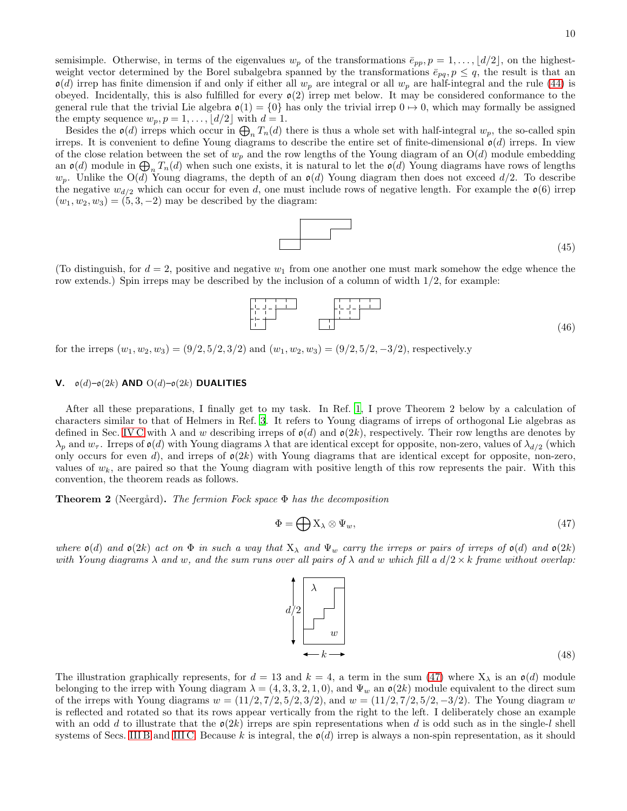Besides the  $\mathfrak{o}(d)$  irreps which occur in  $\bigoplus_n T_n(d)$  there is thus a whole set with half-integral  $w_p$ , the so-called spin irreps. It is convenient to define Young diagrams to describe the entire set of finite-dimensional  $\mathfrak{o}(d)$  irreps. In view of the close relation between the set of  $w_p$  and the row lengths of the Young diagram of an  $O(d)$  module embedding an  $\mathfrak{o}(d)$  module in  $\bigoplus_n T_n(d)$  when such one exists, it is natural to let the  $\mathfrak{o}(d)$  Young diagrams have rows of lengths  $w_p$ . Unlike the O(d) Young diagrams, the depth of an  $\mathfrak{o}(d)$  Young diagram then does not exceed  $d/2$ . To describe the negative  $w_{d/2}$  which can occur for even d, one must include rows of negative length. For example the  $\mathfrak{o}(6)$  irrep  $(w_1, w_2, w_3) = (5, 3, -2)$  may be described by the diagram:

(45)

(To distinguish, for  $d = 2$ , positive and negative  $w_1$  from one another one must mark somehow the edge whence the row extends.) Spin irreps may be described by the inclusion of a column of width  $1/2$ , for example:

(46)

for the irreps  $(w_1, w_2, w_3) = (9/2, 5/2, 3/2)$  and  $(w_1, w_2, w_3) = (9/2, 5/2, -3/2)$ , respectively.y

# <span id="page-9-0"></span>V.  $\mathfrak{o}(d)$ – $\mathfrak{o}(2k)$  AND  $O(d)$ – $\mathfrak{o}(2k)$  DUALITIES

After all these preparations, I finally get to my task. In Ref. [1](#page-13-0), I prove Theorem 2 below by a calculation of characters similar to that of Helmers in Ref. [3](#page-13-2). It refers to Young diagrams of irreps of orthogonal Lie algebras as defined in Sec. [IV C](#page-8-0) with  $\lambda$  and w describing irreps of  $o(d)$  and  $o(2k)$ , respectively. Their row lengths are denotes by  $\lambda_p$  and  $w_\tau$ . Irreps of  $\mathfrak{o}(d)$  with Young diagrams  $\lambda$  that are identical except for opposite, non-zero, values of  $\lambda_{d/2}$  (which only occurs for even d), and irreps of  $\mathfrak{o}(2k)$  with Young diagrams that are identical except for opposite, non-zero, values of  $w_k$ , are paired so that the Young diagram with positive length of this row represents the pair. With this convention, the theorem reads as follows.

<span id="page-9-3"></span>**Theorem 2** (Neergård). The fermion Fock space  $\Phi$  has the decomposition

<span id="page-9-2"></span>
$$
\Phi = \bigoplus \mathbf{X}_{\lambda} \otimes \Psi_w,\tag{47}
$$

where  $\mathfrak{o}(d)$  and  $\mathfrak{o}(2k)$  act on  $\Phi$  in such a way that  $X_{\lambda}$  and  $\Psi_{w}$  carry the irreps or pairs of irreps of  $\mathfrak{o}(d)$  and  $\mathfrak{o}(2k)$ with Young diagrams  $\lambda$  and w, and the sum runs over all pairs of  $\lambda$  and w which fill a  $d/2 \times k$  frame without overlap:

The illustration graphically represents, for  $d = 13$  and  $k = 4$ , a term in the sum [\(47\)](#page-9-2) where  $X_{\lambda}$  is an  $\mathfrak{o}(d)$  module belonging to the irrep with Young diagram  $\lambda = (4, 3, 3, 2, 1, 0)$ , and  $\Psi_w$  an  $\mathfrak{o}(2k)$  module equivalent to the direct sum of the irreps with Young diagrams  $w = (11/2, 7/2, 5/2, 3/2)$ , and  $w = (11/2, 7/2, 5/2, -3/2)$ . The Young diagram w is reflected and rotated so that its rows appear vertically from the right to the left. I deliberately chose an example with an odd d to illustrate that the  $o(2k)$  irreps are spin representations when d is odd such as in the single-l shell systems of Secs. [III B](#page-4-1) and [III C.](#page-5-2) Because k is integral, the  $\mathfrak{o}(d)$  irrep is always a non-spin representation, as it should

<span id="page-9-1"></span>

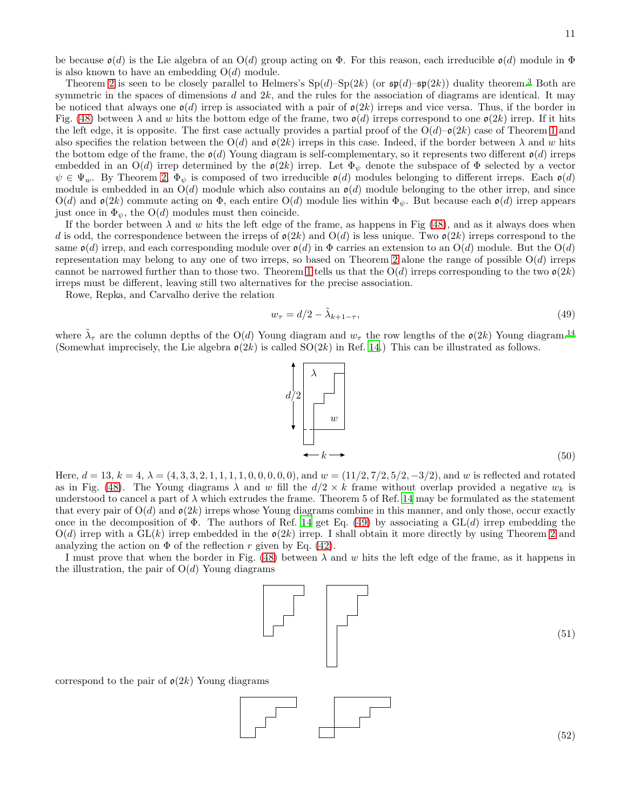be because  $\mathfrak{o}(d)$  is the Lie algebra of an  $O(d)$  group acting on  $\Phi$ . For this reason, each irreducible  $\mathfrak{o}(d)$  module in  $\Phi$ is also known to have an embedding  $O(d)$  module.

Theorem [2](#page-9-3) is seen to be closely parallel to Helmers's  $Sp(d)$ – $Sp(2k)$  (or  $\mathfrak{sp}(d)$ – $\mathfrak{sp}(2k)$ ) duality theorem.<sup>[3](#page-13-2)</sup> Both are symmetric in the spaces of dimensions  $d$  and  $2k$ , and the rules for the association of diagrams are identical. It may be noticed that always one  $\mathfrak{o}(d)$  irrep is associated with a pair of  $\mathfrak{o}(2k)$  irreps and vice versa. Thus, if the border in Fig. [\(48\)](#page-9-1) between  $\lambda$  and w hits the bottom edge of the frame, two  $\mathfrak{o}(d)$  irreps correspond to one  $\mathfrak{o}(2k)$  irrep. If it hits the left edge, it is opposite. The first case actually provides a partial proof of the  $O(d)-O(2k)$  case of Theorem [1](#page-2-4) and also specifies the relation between the  $O(d)$  and  $\mathfrak{o}(2k)$  irreps in this case. Indeed, if the border between  $\lambda$  and w hits the bottom edge of the frame, the  $\mathfrak{o}(d)$  Young diagram is self-complementary, so it represents two different  $\mathfrak{o}(d)$  irreps embedded in an  $O(d)$  irrep determined by the  $o(2k)$  irrep. Let  $\Phi_{\psi}$  denote the subspace of  $\Phi$  selected by a vector  $\psi \in \Psi_w$ . By Theorem [2,](#page-9-3)  $\Phi_{\psi}$  is composed of two irreducible  $\mathfrak{o}(d)$  modules belonging to different irreps. Each  $\mathfrak{o}(d)$ module is embedded in an  $O(d)$  module which also contains an  $o(d)$  module belonging to the other irrep, and since  $O(d)$  and  $\mathfrak{o}(2k)$  commute acting on  $\Phi$ , each entire  $O(d)$  module lies within  $\Phi_{\psi}$ . But because each  $\mathfrak{o}(d)$  irrep appears just once in  $\Phi_{\psi}$ , the O(d) modules must then coincide.

If the border between  $\lambda$  and w hits the left edge of the frame, as happens in Fig [\(48\)](#page-9-1), and as it always does when d is odd, the correspondence between the irreps of  $o(2k)$  and  $O(d)$  is less unique. Two  $o(2k)$  irreps correspond to the same  $\mathfrak{o}(d)$  irrep, and each corresponding module over  $\mathfrak{o}(d)$  in  $\Phi$  carries an extension to an  $O(d)$  module. But the  $O(d)$ representation may belong to any one of two irreps, so based on Theorem [2](#page-9-3) alone the range of possible  $O(d)$  irreps cannot be narrowed further than to those two. Theorem [1](#page-2-4) tells us that the  $O(d)$  irreps corresponding to the two  $\rho(2k)$ irreps must be different, leaving still two alternatives for the precise association.

Rowe, Repka, and Carvalho derive the relation

<span id="page-10-0"></span>
$$
w_{\tau} = d/2 - \tilde{\lambda}_{k+1-\tau},\tag{49}
$$

where  $\tilde{\lambda}_{\tau}$  are the column depths of the O(d) Young diagram and  $w_{\tau}$  the row lengths of the  $o(2k)$  Young diagram.<sup>[14](#page-13-13)</sup> (Somewhat imprecisely, the Lie algebra  $\mathfrak{o}(2k)$  is called  $SO(2k)$  in Ref. [14.](#page-13-13)) This can be illustrated as follows.

<span id="page-10-2"></span> $d/2$ 

Here,  $d = 13$ ,  $k = 4$ ,  $\lambda = (4, 3, 3, 2, 1, 1, 1, 1, 0, 0, 0, 0, 0)$ , and  $w = (11/2, 7/2, 5/2, -3/2)$ , and w is reflected and rotated as in Fig. [\(48\)](#page-9-1). The Young diagrams  $\lambda$  and w fill the  $d/2 \times k$  frame without overlap provided a negative  $w_k$  is understood to cancel a part of  $\lambda$  which extrudes the frame. Theorem 5 of Ref. [14](#page-13-13) may be formulated as the statement that every pair of  $O(d)$  and  $\mathfrak{o}(2k)$  irreps whose Young diagrams combine in this manner, and only those, occur exactly once in the decomposition of  $\Phi$ . The authors of Ref. [14](#page-13-13) get Eq. [\(49\)](#page-10-0) by associating a GL(d) irrep embedding the  $O(d)$  irrep with a  $GL(k)$  irrep embedded in the  $o(2k)$  irrep. I shall obtain it more directly by using Theorem [2](#page-9-3) and analyzing the action on  $\Phi$  of the reflection r given by Eq. [\(42\)](#page-8-2).

I must prove that when the border in Fig. [\(48\)](#page-9-1) between  $\lambda$  and w hits the left edge of the frame, as it happens in the illustration, the pair of  $O(d)$  Young diagrams

<span id="page-10-1"></span>

(51)

correspond to the pair of  $\mathfrak{o}(2k)$  Young diagrams







(52)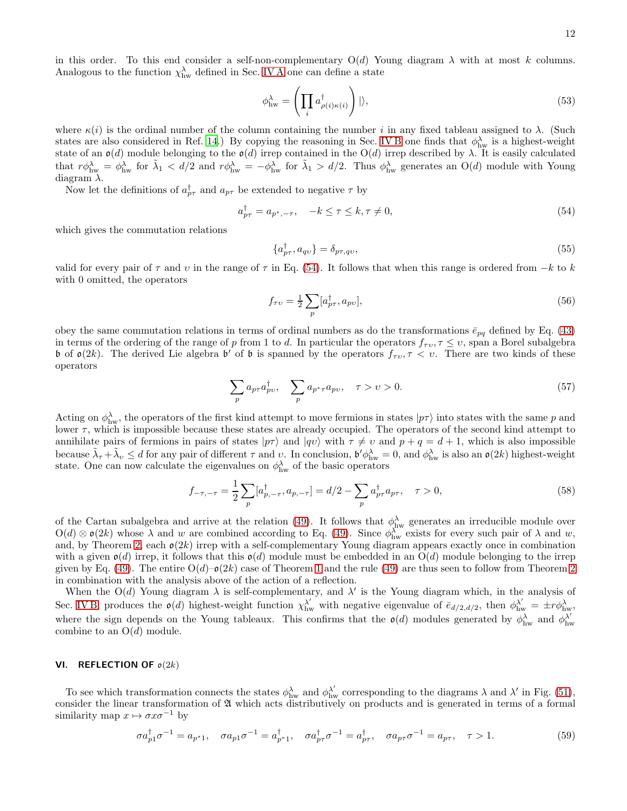in this order. To this end consider a self-non-complementary  $O(d)$  Young diagram  $\lambda$  with at most k columns. Analogous to the function  $\chi_{hw}^{\lambda}$  defined in Sec. [IV A](#page-6-1) one can define a state

<span id="page-11-1"></span>
$$
\phi_{\text{hw}}^{\lambda} = \left( \prod_{i} a_{\rho(i)\kappa(i)}^{\dagger} \right) | \rangle, \tag{53}
$$

where  $\kappa(i)$  is the ordinal number of the column containing the number i in any fixed tableau assigned to  $\lambda$ . (Such states are also considered in Ref. [14](#page-13-13).) By copying the reasoning in Sec. [IV B](#page-7-0) one finds that  $\phi_{hw}^{\lambda}$  is a highest-weight state of an  $\mathfrak{o}(d)$  module belonging to the  $\mathfrak{o}(d)$  irrep contained in the  $O(d)$  irrep described by  $\lambda$ . It is easily calculated that  $r\phi_{hw}^{\lambda} = \phi_{hw}^{\lambda}$  for  $\tilde{\lambda}_1 < d/2$  and  $r\phi_{hw}^{\lambda} = -\phi_{hw}^{\lambda}$  for  $\tilde{\lambda}_1 > d/2$ . Thus  $\phi_{hw}^{\lambda}$  generates an O(d) module with Young diagram  $\lambda$ .

Now let the definitions of  $a_{p\tau}^{\dagger}$  and  $a_{p\tau}$  be extended to negative  $\tau$  by

<span id="page-11-2"></span>
$$
a_{p\tau}^{\dagger} = a_{p^*, -\tau}, \quad -k \le \tau \le k, \tau \ne 0,
$$
\n
$$
(54)
$$

which gives the commutation relations

$$
\{a_{p\tau}^{\dagger}, a_{qv}\} = \delta_{p\tau, qv},\tag{55}
$$

valid for every pair of  $\tau$  and v in the range of  $\tau$  in Eq. [\(54\)](#page-11-2). It follows that when this range is ordered from  $-k$  to k with 0 omitted, the operators

<span id="page-11-3"></span>
$$
f_{\tau\upsilon} = \frac{1}{2} \sum_{p} [a_{p\tau}^{\dagger}, a_{pv}], \qquad (56)
$$

obey the same commutation relations in terms of ordinal numbers as do the transformations  $\bar{e}_{pq}$  defined by Eq. [\(43\)](#page-8-3) in terms of the ordering of the range of p from 1 to d. In particular the operators  $f_{\tau v}$ ,  $\tau \leq v$ , span a Borel subalgebra b of  $\mathfrak{o}(2k)$ . The derived Lie algebra b' of b is spanned by the operators  $f_{\tau\upsilon}, \tau < \upsilon$ . There are two kinds of these operators

$$
\sum_{p} a_{p\tau} a_{pv}^{\dagger}, \quad \sum_{p} a_{p^*\tau} a_{pv}, \quad \tau > \upsilon > 0. \tag{57}
$$

Acting on  $\phi_{hw}^{\lambda}$ , the operators of the first kind attempt to move fermions in states  $|p\tau\rangle$  into states with the same p and lower τ, which is impossible because these states are already occupied. The operators of the second kind attempt to annihilate pairs of fermions in pairs of states  $|p\tau\rangle$  and  $|q\upsilon\rangle$  with  $\tau \neq \upsilon$  and  $p + q = d + 1$ , which is also impossible because  $\tilde{\lambda}_{\tau} + \tilde{\lambda}_{\nu} \leq d$  for any pair of different  $\tau$  and  $\upsilon$ . In conclusion,  $\mathfrak{b}' \phi_{hw}^{\lambda} = 0$ , and  $\phi_{hw}^{\lambda}$  is also an  $\mathfrak{o}(2k)$  highest-weight state. One can now calculate the eigenvalues on  $\phi_{hw}^{\lambda}$  of the basic operators

$$
f_{-\tau,-\tau} = \frac{1}{2} \sum_{p} [a_{p,-\tau}^{\dagger}, a_{p,-\tau}] = d/2 - \sum_{p} a_{p\tau}^{\dagger} a_{p\tau}, \quad \tau > 0,
$$
\n(58)

of the Cartan subalgebra and arrive at the relation [\(49\)](#page-10-0). It follows that  $\phi_{hw}^{\lambda}$  generates an irreducible module over  $O(d) \otimes \mathfrak{o}(2k)$  whose  $\lambda$  and w are combined according to Eq. [\(49\)](#page-10-0). Since  $\phi_{hw}^{\lambda}$  exists for every such pair of  $\lambda$  and w, and, by Theorem [2,](#page-9-3) each  $o(2k)$  irrep with a self-complementary Young diagram appears exactly once in combination with a given  $o(d)$  irrep, it follows that this  $o(d)$  module must be embedded in an  $O(d)$  module belonging to the irrep given by Eq. [\(49\)](#page-10-0). The entire  $O(d)-O(2k)$  case of Theorem [1](#page-2-4) and the rule (49) are thus seen to follow from Theorem [2](#page-9-3) in combination with the analysis above of the action of a reflection.

When the  $O(d)$  Young diagram  $\lambda$  is self-complementary, and  $\lambda'$  is the Young diagram which, in the analysis of Sec. [IV B,](#page-7-0) produces the  $\mathfrak{o}(d)$  highest-weight function  $\chi_{hw}^{\lambda'}$  with negative eigenvalue of  $\bar{e}_{d/2,d/2}$ , then  $\phi_{hw}^{\lambda'} = \pm r \phi_{hw}^{\lambda}$ , where the sign depends on the Young tableaux. This confirms that the  $o(d)$  modules generated by  $\phi_{hw}^{\lambda}$  and  $\phi_{hw}^{\lambda'}$ hw combine to an  $O(d)$  module.

# <span id="page-11-0"></span>VI. REFLECTION OF  $o(2k)$

To see which transformation connects the states  $\phi_{hw}^{\lambda}$  and  $\phi_{hw}^{\lambda'}$  corresponding to the diagrams  $\lambda$  and  $\lambda'$  in Fig. [\(51\)](#page-10-1), consider the linear transformation of  $\mathfrak A$  which acts distributively on products and is generated in terms of a formal similarity map  $x \mapsto \sigma x \sigma^{-1}$  by

$$
\sigma a_{p1}^{\dagger} \sigma^{-1} = a_{p^*1}, \quad \sigma a_{p1} \sigma^{-1} = a_{p^*1}^{\dagger}, \quad \sigma a_{p\tau}^{\dagger} \sigma^{-1} = a_{p\tau}^{\dagger}, \quad \sigma a_{p\tau} \sigma^{-1} = a_{p\tau}, \quad \tau > 1. \tag{59}
$$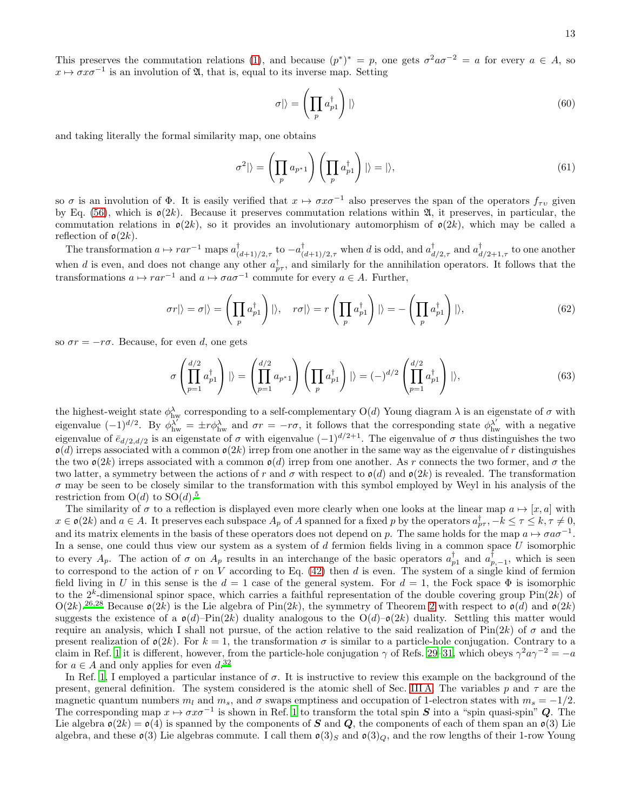This preserves the commutation relations [\(1\)](#page-0-1), and because  $(p^*)^* = p$ , one gets  $\sigma^2 a \sigma^{-2} = a$  for every  $a \in A$ , so  $x \mapsto \sigma x \sigma^{-1}$  is an involution of  $\mathfrak{A}$ , that is, equal to its inverse map. Setting

$$
\sigma|\rangle = \left(\prod_p a_{p1}^\dagger\right)|\rangle\tag{60}
$$

and taking literally the formal similarity map, one obtains

$$
\sigma^2|\rangle = \left(\prod_p a_{p^*1}\right)\left(\prod_p a_{p1}^\dagger\right)|\rangle = |\rangle,\tag{61}
$$

so  $\sigma$  is an involution of  $\Phi$ . It is easily verified that  $x \mapsto \sigma x \sigma^{-1}$  also preserves the span of the operators  $f_{\tau \nu}$  given by Eq. [\(56\)](#page-11-3), which is  $\mathfrak{o}(2k)$ . Because it preserves commutation relations within  $\mathfrak{A}$ , it preserves, in particular, the commutation relations in  $\mathfrak{o}(2k)$ , so it provides an involutionary automorphism of  $\mathfrak{o}(2k)$ , which may be called a reflection of  $\mathfrak{o}(2k)$ .

The transformation  $a \mapsto r a r^{-1}$  maps  $a_c^{\dagger}$  $\int_{(d+1)/2,\tau}^{\dagger}$  to  $-a_{(d+1)/2,\tau}^{\dagger}$  when d is odd, and  $a_d^{\dagger}$  $_{d/2,\tau}^{\dagger}$  and  $a_d^{\dagger}$  $d/2+1, \tau$  to one another when d is even, and does not change any other  $a_{p\tau}^{\dagger}$ , and similarly for the annihilation operators. It follows that the transformations  $a \mapsto r a r^{-1}$  and  $a \mapsto \sigma a \sigma^{-1}$  commute for every  $a \in A$ . Further,

$$
\sigma r|\rangle = \sigma|\rangle = \left(\prod_p a_{p1}^\dagger\right)|\rangle, \quad r\sigma|\rangle = r\left(\prod_p a_{p1}^\dagger\right)|\rangle = -\left(\prod_p a_{p1}^\dagger\right)|\rangle,\tag{62}
$$

so  $\sigma r = -r\sigma$ . Because, for even d, one gets

$$
\sigma\left(\prod_{p=1}^{d/2} a_{p1}^{\dagger}\right) \mid\rangle = \left(\prod_{p=1}^{d/2} a_{p^*1}\right) \left(\prod_p a_{p1}^{\dagger}\right) \mid\rangle = (-)^{d/2} \left(\prod_{p=1}^{d/2} a_{p1}^{\dagger}\right) \mid\rangle,\tag{63}
$$

the highest-weight state  $\phi_{\text{hw}}^{\lambda}$  corresponding to a self-complementary  $O(d)$  Young diagram  $\lambda$  is an eigenstate of  $\sigma$  with eigenvalue  $(-1)^{d/2}$ . By  $\phi_{hw}^{\lambda'} = \pm r \phi_{hw}^{\lambda}$  and  $\sigma r = -r\sigma$ , it follows that the corresponding state  $\phi_{hw}^{\lambda'}$  with a negative eigenvalue of  $\bar{e}_{d/2,d/2}$  is an eigenstate of  $\sigma$  with eigenvalue  $(-1)^{d/2+1}$ . The eigenvalue of  $\sigma$  thus distinguishes the two  $o(d)$  irreps associated with a common  $o(2k)$  irrep from one another in the same way as the eigenvalue of r distinguishes the two  $\mathfrak{o}(2k)$  irreps associated with a common  $\mathfrak{o}(d)$  irrep from one another. As r connects the two former, and  $\sigma$  the two latter, a symmetry between the actions of r and  $\sigma$  with respect to  $\mathfrak{o}(d)$  and  $\mathfrak{o}(2k)$  is revealed. The transformation  $\sigma$  may be seen to be closely similar to the transformation with this symbol employed by Weyl in his analysis of the restriction from  $O(d)$  to  $SO(d).<sup>5</sup>$  $SO(d).<sup>5</sup>$  $SO(d).<sup>5</sup>$ 

The similarity of  $\sigma$  to a reflection is displayed even more clearly when one looks at the linear map  $a \mapsto [x, a]$  with  $x \in \mathfrak{o}(2k)$  and  $a \in A$ . It preserves each subspace  $A_p$  of A spanned for a fixed p by the operators  $a_{p\tau}^{\dagger}, -k \leq \tau \leq k, \tau \neq 0$ , and its matrix elements in the basis of these operators does not depend on p. The same holds for the map  $a \mapsto \sigma a \sigma^{-1}$ . In a sense, one could thus view our system as a system of  $d$  fermion fields living in a common space  $U$  isomorphic to every  $A_p$ . The action of  $\sigma$  on  $A_p$  results in an interchange of the basic operators  $a_{p1}^{\dagger}$  and  $a_{p,-1}^{\dagger}$ , which is seen to correspond to the action of r on V according to Eq.  $(42)$  then d is even. The system of a single kind of fermion field living in U in this sense is the  $d = 1$  case of the general system. For  $d = 1$ , the Fock space  $\Phi$  is isomorphic to the  $2^k$ -dimensional spinor space, which carries a faithful representation of the double covering group  $\text{Pin}(2k)$  of  $O(2k)$ .<sup>[26](#page-14-1)[,28](#page-14-3)</sup> Because  $\mathfrak{o}(2k)$  is the Lie algebra of Pin(2k), the symmetry of Theorem [2](#page-9-3) with respect to  $\mathfrak{o}(d)$  and  $\mathfrak{o}(2k)$ suggests the existence of a  $\mathfrak{o}(d)$ –Pin(2k) duality analogous to the  $O(d)$ – $\mathfrak{o}(2k)$  duality. Settling this matter would require an analysis, which I shall not pursue, of the action relative to the said realization of Pin(2k) of  $\sigma$  and the present realization of  $\mathfrak{o}(2k)$ . For  $k = 1$ , the transformation  $\sigma$  is similar to a particle-hole conjugation. Contrary to a claim in Ref. [1](#page-13-0) it is different, however, from the particle-hole conjugation  $\gamma$  of Refs. [29](#page-14-4)[–31,](#page-14-5) which obeys  $\gamma^2 a \gamma^{-2} = -a$ for  $a \in A$  and only applies for even  $d^{32}$  $d^{32}$  $d^{32}$ 

In Ref. [1,](#page-13-0) I employed a particular instance of  $\sigma$ . It is instructive to review this example on the background of the present, general definition. The system considered is the atomic shell of Sec. [III A.](#page-3-4) The variables p and  $\tau$  are the magnetic quantum numbers  $m_l$  and  $m_s$ , and  $\sigma$  swaps emptiness and occupation of 1-electron states with  $m_s = -1/2$ . The corresponding map  $x \mapsto \sigma x \sigma^{-1}$  is shown in Ref. [1](#page-13-0) to transform the total spin S into a "spin quasi-spin" Q. The Lie algebra  $\mathfrak{o}(2k) = \mathfrak{o}(4)$  is spanned by the components of S and Q, the components of each of them span an  $\mathfrak{o}(3)$  Lie algebra, and these  $\mathfrak{o}(3)$  Lie algebras commute. I call them  $\mathfrak{o}(3)_S$  and  $\mathfrak{o}(3)_Q$ , and the row lengths of their 1-row Young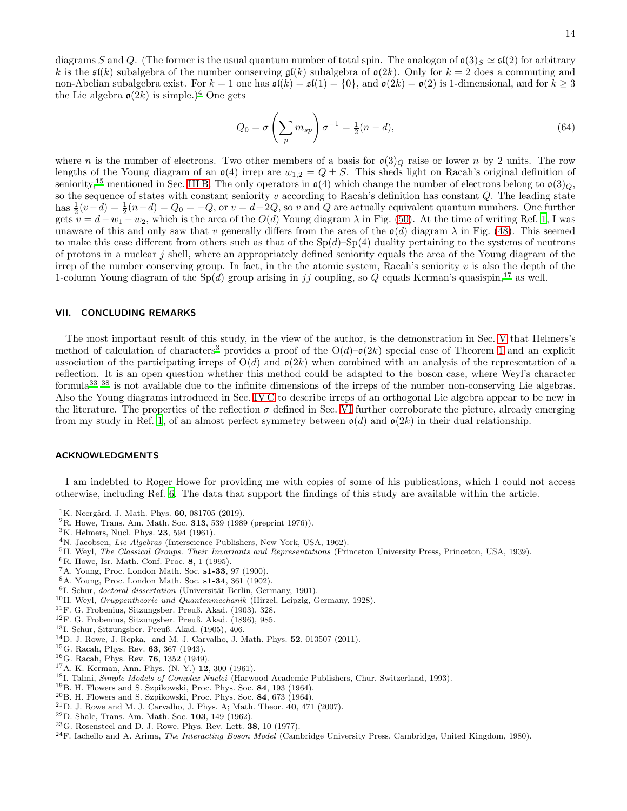diagrams S and Q. (The former is the usual quantum number of total spin. The analogon of  $\mathfrak{o}(3)_{S} \simeq \mathfrak{sl}(2)$  for arbitrary k is the  $\mathfrak{sl}(k)$  subalgebra of the number conserving  $\mathfrak{gl}(k)$  subalgebra of  $\mathfrak{o}(2k)$ . Only for  $k = 2$  does a commuting and non-Abelian subalgebra exist. For  $k = 1$  one has  $\mathfrak{sl}(k) = \mathfrak{sl}(1) = \{0\}$ , and  $\mathfrak{o}(2k) = \mathfrak{o}(2)$  is 1-dimensional, and for  $k \geq 3$ the Lie algebra  $\mathfrak{o}(2k)$  is simple.)<sup>[4](#page-13-3)</sup> One gets

$$
Q_0 = \sigma \left(\sum_p m_{sp}\right) \sigma^{-1} = \frac{1}{2}(n-d),\tag{64}
$$

where n is the number of electrons. Two other members of a basis for  $\mathfrak{o}(3)_{Q}$  raise or lower n by 2 units. The row lengths of the Young diagram of an  $\mathfrak{o}(4)$  irrep are  $w_{1,2} = Q \pm S$ . This sheds light on Racah's original definition of seniority,<sup>[15](#page-13-14)</sup> mentioned in Sec. [III B.](#page-4-1) The only operators in  $\mathfrak{o}(4)$  which change the number of electrons belong to  $\mathfrak{o}(3)_{Q}$ , so the sequence of states with constant seniority  $v$  according to Racah's definition has constant  $Q$ . The leading state has  $\frac{1}{2}(v-d) = \frac{1}{2}(n-d) = Q_0 = -Q$ , or  $v = d-2Q$ , so v and Q are actually equivalent quantum numbers. One further gets  $v = d - w_1 - w_2$ , which is the area of the  $O(d)$  Young diagram  $\lambda$  in Fig. [\(50\)](#page-10-2). At the time of writing Ref. [1,](#page-13-0) I was unaware of this and only saw that v generally differs from the area of the  $\mathfrak{o}(d)$  diagram  $\lambda$  in Fig. [\(48\)](#page-9-1). This seemed to make this case different from others such as that of the  $Sp(d)$ – $Sp(4)$  duality pertaining to the systems of neutrons of protons in a nuclear j shell, where an appropriately defined seniority equals the area of the Young diagram of the irrep of the number conserving group. In fact, in the the atomic system, Racah's seniority  $v$  is also the depth of the 1-column Young diagram of the  $Sp(d)$  group arising in jj coupling, so Q equals Kerman's quasispin,<sup>[17](#page-13-16)</sup> as well.

#### VII. CONCLUDING REMARKS

The most important result of this study, in the view of the author, is the demonstration in Sec. [V](#page-9-0) that Helmers's method of calculation of characters<sup>[3](#page-13-2)</sup> provides a proof of the  $O(d)-O(2k)$  special case of Theorem [1](#page-2-4) and an explicit association of the participating irreps of  $O(d)$  and  $o(2k)$  when combined with an analysis of the representation of a reflection. It is an open question whether this method could be adapted to the boson case, where Weyl's character formula[33](#page-14-7)[–38](#page-14-8) is not available due to the infinite dimensions of the irreps of the number non-conserving Lie algebras. Also the Young diagrams introduced in Sec. [IV C](#page-8-0) to describe irreps of an orthogonal Lie algebra appear to be new in the literature. The properties of the reflection  $\sigma$  defined in Sec. [VI](#page-11-0) further corroborate the picture, already emerging from my study in Ref. [1](#page-13-0), of an almost perfect symmetry between  $\mathfrak{o}(d)$  and  $\mathfrak{o}(2k)$  in their dual relationship.

#### ACKNOWLEDGMENTS

I am indebted to Roger Howe for providing me with copies of some of his publications, which I could not access otherwise, including Ref. [6](#page-13-5). The data that support the findings of this study are available within the article.

- <span id="page-13-0"></span><sup>1</sup>K. Neergård, J. Math. Phys. **60**, 081705 (2019).
- <span id="page-13-1"></span> ${}^{2}$ R. Howe, Trans. Am. Math. Soc. 313, 539 (1989 (preprint 1976)).
- <span id="page-13-2"></span><sup>3</sup>K. Helmers, Nucl. Phys. 23, 594 (1961).
- <span id="page-13-3"></span><sup>4</sup>N. Jacobsen, *Lie Algebras* (Interscience Publishers, New York, USA, 1962).
- <span id="page-13-4"></span><sup>5</sup>H. Weyl, *The Classical Groups. Their Invariants and Representations* (Princeton University Press, Princeton, USA, 1939).
- <span id="page-13-5"></span> ${}^{6}$ R. Howe, Isr. Math. Conf. Proc. 8, 1 (1995).
- <span id="page-13-6"></span><sup>7</sup>A. Young, Proc. London Math. Soc. s1-33, 97 (1900).
- <span id="page-13-7"></span><sup>8</sup>A. Young, Proc. London Math. Soc. s1-34, 361 (1902).
- <span id="page-13-8"></span><sup>9</sup>I. Schur, doctoral dissertation (Universität Berlin, Germany, 1901).
- <span id="page-13-9"></span><sup>10</sup>H. Weyl, *Gruppentheorie und Quantenmechanik* (Hirzel, Leipzig, Germany, 1928).
- <span id="page-13-10"></span><sup>11</sup>F. G. Frobenius, Sitzungsber. Preuß. Akad. (1903), 328.
- <span id="page-13-11"></span><sup>12</sup>F. G. Frobenius, Sitzungsber. Preuß. Akad. (1896), 985.
- <span id="page-13-12"></span><sup>13</sup>I. Schur, Sitzungsber. Preuß. Akad. (1905), 406.
- <span id="page-13-13"></span><sup>14</sup>D. J. Rowe, J. Repka, and M. J. Carvalho, J. Math. Phys. 52, 013507 (2011).
- <span id="page-13-14"></span><sup>15</sup>G. Racah, Phys. Rev. 63, 367 (1943).
- <span id="page-13-15"></span><sup>16</sup>G. Racah, Phys. Rev. 76, 1352 (1949).
- <span id="page-13-16"></span> $17A$ . K. Kerman, Ann. Phys. (N. Y.) 12, 300 (1961).
- <span id="page-13-17"></span><sup>18</sup>I. Talmi, Simple Models of Complex Nuclei (Harwood Academic Publishers, Chur, Switzerland, 1993).
- <span id="page-13-18"></span><sup>19</sup>B. H. Flowers and S. Szpikowski, Proc. Phys. Soc. 84, 193 (1964).
- <span id="page-13-19"></span> $^{20}$ B. H. Flowers and S. Szpikowski, Proc. Phys. Soc. 84, 673 (1964).
- <span id="page-13-20"></span><sup>21</sup>D. J. Rowe and M. J. Carvalho, J. Phys. A; Math. Theor. 40, 471 (2007).
- <span id="page-13-21"></span> $22$ D. Shale, Trans. Am. Math. Soc. 103, 149 (1962).
- <span id="page-13-22"></span> $^{23}$ G. Rosensteel and D. J. Rowe, Phys. Rev. Lett.  $38$ , 10 (1977).
- <span id="page-13-23"></span> $^{24}$ F. Iachello and A. Arima, *The Interacting Boson Model* (Cambridge University Press, Cambridge, United Kingdom, 1980).